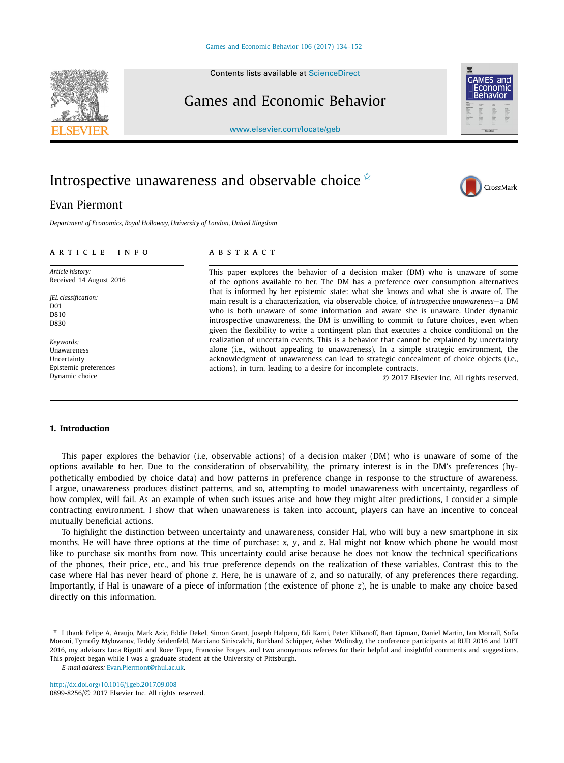Contents lists available at [ScienceDirect](http://www.ScienceDirect.com/)

## Games and Economic Behavior

[www.elsevier.com/locate/geb](http://www.elsevier.com/locate/geb)

# Introspective unawareness and observable choice  $\dot{\mathbf{x}}$

## Evan Piermont

*Department of Economics, Royal Holloway, University of London, United Kingdom*

#### A R T I C L E I N F O A B S T R A C T

*Article history:* Received 14 August 2016

*JEL classification:* D01 D810 D830

*Keywords:* Unawareness Uncertainty Epistemic preferences Dynamic choice

This paper explores the behavior of a decision maker (DM) who is unaware of some of the options available to her. The DM has a preference over consumption alternatives that is informed by her epistemic state: what she knows and what she is aware of. The main result is a characterization, via observable choice, of *introspective unawareness*—a DM who is both unaware of some information and aware she is unaware. Under dynamic introspective unawareness, the DM is unwilling to commit to future choices, even when given the flexibility to write a contingent plan that executes a choice conditional on the realization of uncertain events. This is a behavior that cannot be explained by uncertainty alone (i.e., without appealing to unawareness). In a simple strategic environment, the acknowledgment of unawareness can lead to strategic concealment of choice objects (i.e., actions), in turn, leading to a desire for incomplete contracts.

© 2017 Elsevier Inc. All rights reserved.

#### **1. Introduction**

This paper explores the behavior (i.e, observable actions) of a decision maker (DM) who is unaware of some of the options available to her. Due to the consideration of observability, the primary interest is in the DM's preferences (hypothetically embodied by choice data) and how patterns in preference change in response to the structure of awareness. I argue, unawareness produces distinct patterns, and so, attempting to model unawareness with uncertainty, regardless of how complex, will fail. As an example of when such issues arise and how they might alter predictions, I consider a simple contracting environment. I show that when unawareness is taken into account, players can have an incentive to conceal mutually beneficial actions.

To highlight the distinction between uncertainty and unawareness, consider Hal, who will buy a new smartphone in six months. He will have three options at the time of purchase: *x*, *y*, and *z*. Hal might not know which phone he would most like to purchase six months from now. This uncertainty could arise because he does not know the technical specifications of the phones, their price, etc., and his true preference depends on the realization of these variables. Contrast this to the case where Hal has never heard of phone *z*. Here, he is unaware of *z*, and so naturally, of any preferences there regarding. Importantly, if Hal is unaware of a piece of information (the existence of phone *z*), he is unable to make any choice based directly on this information.

*E-mail address:* [Evan.Piermont@rhul.ac.uk](mailto:Evan.Piermont@rhul.ac.uk).







<sup>✩</sup> I thank Felipe A. Araujo, Mark Azic, Eddie Dekel, Simon Grant, Joseph Halpern, Edi Karni, Peter Klibanoff, Bart Lipman, Daniel Martin, Ian Morrall, Sofia Moroni, Tymofiy Mylovanov, Teddy Seidenfeld, Marciano Siniscalchi, Burkhard Schipper, Asher Wolinsky, the conference participants at RUD 2016 and LOFT 2016, my advisors Luca Rigotti and Roee Teper, Francoise Forges, and two anonymous referees for their helpful and insightful comments and suggestions. This project began while I was a graduate student at the University of Pittsburgh.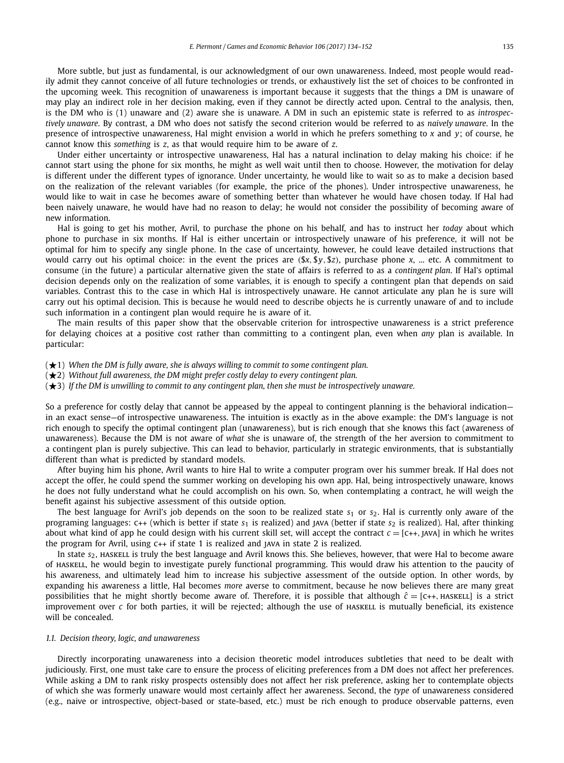More subtle, but just as fundamental, is our acknowledgment of our own unawareness. Indeed, most people would readily admit they cannot conceive of all future technologies or trends, or exhaustively list the set of choices to be confronted in the upcoming week. This recognition of unawareness is important because it suggests that the things a DM is unaware of may play an indirect role in her decision making, even if they cannot be directly acted upon. Central to the analysis, then, is the DM who is (1) unaware and (2) aware she is unaware. A DM in such an epistemic state is referred to as *introspectively unaware*. By contrast, a DM who does not satisfy the second criterion would be referred to as *naively unaware*. In the presence of introspective unawareness, Hal might envision a world in which he prefers something to *x* and *y*; of course, he cannot know this *something* is *z*, as that would require him to be aware of *z*.

Under either uncertainty or introspective unawareness, Hal has a natural inclination to delay making his choice: if he cannot start using the phone for six months, he might as well wait until then to choose. However, the motivation for delay is different under the different types of ignorance. Under uncertainty, he would like to wait so as to make a decision based on the realization of the relevant variables (for example, the price of the phones). Under introspective unawareness, he would like to wait in case he becomes aware of something better than whatever he would have chosen today. If Hal had been naively unaware, he would have had no reason to delay; he would not consider the possibility of becoming aware of new information.

Hal is going to get his mother, Avril, to purchase the phone on his behalf, and has to instruct her *today* about which phone to purchase in six months. If Hal is either uncertain or introspectively unaware of his preference, it will not be optimal for him to specify any single phone. In the case of uncertainty, however, he could leave detailed instructions that would carry out his optimal choice: in the event the prices are *(*\$*x,* \$*y,* \$*z)*, purchase phone *x*, ... etc. A commitment to consume (in the future) a particular alternative given the state of affairs is referred to as a *contingent plan*. If Hal's optimal decision depends only on the realization of some variables, it is enough to specify a contingent plan that depends on said variables. Contrast this to the case in which Hal is introspectively unaware. He cannot articulate any plan he is sure will carry out his optimal decision. This is because he would need to describe objects he is currently unaware of and to include such information in a contingent plan would require he is aware of it.

The main results of this paper show that the observable criterion for introspective unawareness is a strict preference for delaying choices at a positive cost rather than committing to a contingent plan, even when *any* plan is available. In particular:

(-1) *When the DM is fully aware, she is always willing to commit to some contingent plan.*

(-2) *Without full awareness, the DM might prefer costly delay to every contingent plan.*

(-3) *If the DM is unwilling to commit to any contingent plan, then she must be introspectively unaware.*

So a preference for costly delay that cannot be appeased by the appeal to contingent planning is the behavioral indication in an exact sense—of introspective unawareness. The intuition is exactly as in the above example: the DM's language is not rich enough to specify the optimal contingent plan (unawareness), but is rich enough that she knows this fact (awareness of unawareness). Because the DM is not aware of *what* she is unaware of, the strength of the her aversion to commitment to a contingent plan is purely subjective. This can lead to behavior, particularly in strategic environments, that is substantially different than what is predicted by standard models.

After buying him his phone, Avril wants to hire Hal to write a computer program over his summer break. If Hal does not accept the offer, he could spend the summer working on developing his own app. Hal, being introspectively unaware, knows he does not fully understand what he could accomplish on his own. So, when contemplating a contract, he will weigh the benefit against his subjective assessment of this outside option.

The best language for Avril's job depends on the soon to be realized state  $s_1$  or  $s_2$ . Hal is currently only aware of the programing languages:  $c++$  (which is better if state  $s<sub>1</sub>$  is realized) and JAVA (better if state  $s<sub>2</sub>$  is realized). Hal, after thinking about what kind of app he could design with his current skill set, will accept the contract  $c = [c++, Java]$  in which he writes the program for Avril, using c++ if state 1 is realized and java in state 2 is realized.

In state *s*2, haskell is truly the best language and Avril knows this. She believes, however, that were Hal to become aware of haskell, he would begin to investigate purely functional programming. This would draw his attention to the paucity of his awareness, and ultimately lead him to increase his subjective assessment of the outside option. In other words, by expanding his awareness a little, Hal becomes *more* averse to commitment, because he now believes there are many great possibilities that he might shortly become aware of. Therefore, it is possible that although  $\hat{c} = [c_{++}, \text{HASKELI}]$  is a strict improvement over *c* for both parties, it will be rejected; although the use of HASKELL is mutually beneficial, its existence will be concealed.

#### *1.1. Decision theory, logic, and unawareness*

Directly incorporating unawareness into a decision theoretic model introduces subtleties that need to be dealt with judiciously. First, one must take care to ensure the process of eliciting preferences from a DM does not affect her preferences. While asking a DM to rank risky prospects ostensibly does not affect her risk preference, asking her to contemplate objects of which she was formerly unaware would most certainly affect her awareness. Second, the *type* of unawareness considered (e.g., naive or introspective, object-based or state-based, etc.) must be rich enough to produce observable patterns, even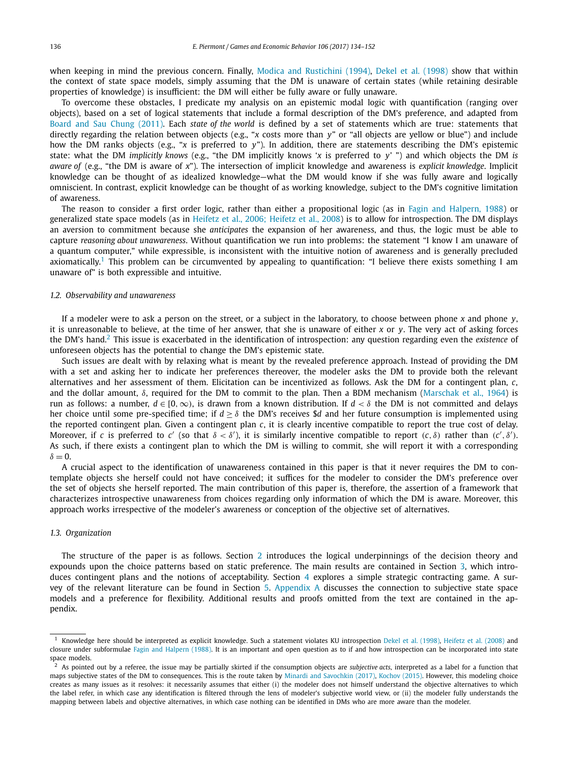when keeping in mind the previous concern. Finally, Modica and [Rustichini \(1994\),](#page-18-0) Dekel et [al. \(1998\)](#page-17-0) show that within the context of state space models, simply assuming that the DM is unaware of certain states (while retaining desirable properties of knowledge) is insufficient: the DM will either be fully aware or fully unaware.

To overcome these obstacles, I predicate my analysis on an epistemic modal logic with quantification (ranging over objects), based on a set of logical statements that include a formal description of the DM's preference, and adapted from Board and [Sau Chung \(2011\).](#page-17-0) Each *state of the world* is defined by a set of statements which are true: statements that directly regarding the relation between objects (e.g., "*x* costs more than *y*" or "all objects are yellow or blue") and include how the DM ranks objects (e.g., "*x* is preferred to *y*"). In addition, there are statements describing the DM's epistemic state: what the DM *implicitly knows* (e.g., "the DM implicitly knows '*x* is preferred to *y*' ") and which objects the DM *is aware of* (e.g., "the DM is aware of *x*"). The intersection of implicit knowledge and awareness is *explicit knowledge*. Implicit knowledge can be thought of as idealized knowledge—what the DM would know if she was fully aware and logically omniscient. In contrast, explicit knowledge can be thought of as working knowledge, subject to the DM's cognitive limitation of awareness.

The reason to consider a first order logic, rather than either a propositional logic (as in Fagin and [Halpern,](#page-18-0) 1988) or generalized state space models (as in Heifetz et al., [2006; Heifetz](#page-18-0) et al., 2008) is to allow for introspection. The DM displays an aversion to commitment because she *anticipates* the expansion of her awareness, and thus, the logic must be able to capture *reasoning about unawareness*. Without quantification we run into problems: the statement "I know I am unaware of a quantum computer," while expressible, is inconsistent with the intuitive notion of awareness and is generally precluded axiomatically.<sup>1</sup> This problem can be circumvented by appealing to quantification: "I believe there exists something I am unaware of" is both expressible and intuitive.

#### *1.2. Observability and unawareness*

If a modeler were to ask a person on the street, or a subject in the laboratory, to choose between phone *x* and phone *y*, it is unreasonable to believe, at the time of her answer, that she is unaware of either *x* or *y*. The very act of asking forces the DM's hand.<sup>2</sup> This issue is exacerbated in the identification of introspection: any question regarding even the *existence* of unforeseen objects has the potential to change the DM's epistemic state.

Such issues are dealt with by relaxing what is meant by the revealed preference approach. Instead of providing the DM with a set and asking her to indicate her preferences thereover, the modeler asks the DM to provide both the relevant alternatives and her assessment of them. Elicitation can be incentivized as follows. Ask the DM for a contingent plan, *c*, and the dollar amount,  $\delta$ , required for the DM to commit to the plan. Then a BDM mechanism [\(Marschak](#page-18-0) et al., 1964) is run as follows: a number,  $d \in [0, \infty)$ , is drawn from a known distribution. If  $d < \delta$  the DM is not committed and delays her choice until some pre-specified time; if  $d \geq \delta$  the DM's receives \$*d* and her future consumption is implemented using the reported contingent plan. Given a contingent plan *c*, it is clearly incentive compatible to report the true cost of delay. Moreover, if *c* is preferred to *c'* (so that  $\delta < \delta'$ ), it is similarly incentive compatible to report  $(c, \delta)$  rather than  $(c', \delta')$ . As such, if there exists a contingent plan to which the DM is willing to commit, she will report it with a corresponding  $\delta = 0$ .

A crucial aspect to the identification of unawareness contained in this paper is that it never requires the DM to contemplate objects she herself could not have conceived; it suffices for the modeler to consider the DM's preference over the set of objects she herself reported. The main contribution of this paper is, therefore, the assertion of a framework that characterizes introspective unawareness from choices regarding only information of which the DM is aware. Moreover, this approach works irrespective of the modeler's awareness or conception of the objective set of alternatives.

#### *1.3. Organization*

The structure of the paper is as follows. Section [2](#page-3-0) introduces the logical underpinnings of the decision theory and expounds upon the choice patterns based on static preference. The main results are contained in Section [3,](#page-6-0) which introduces contingent plans and the notions of acceptability. Section [4](#page-10-0) explores a simple strategic contracting game. A survey of the relevant literature can be found in Section [5.](#page-12-0) [Appendix A](#page-14-0) discusses the connection to subjective state space models and a preference for flexibility. Additional results and proofs omitted from the text are contained in the appendix.

<sup>&</sup>lt;sup>1</sup> Knowledge here should be interpreted as explicit knowledge. Such a statement violates KU introspection Dekel et [al. \(1998\),](#page-17-0) Heifetz et [al. \(2008\)](#page-18-0) and closure under subformulae Fagin and [Halpern \(1988\).](#page-18-0) It is an important and open question as to if and how introspection can be incorporated into state space models.

<sup>2</sup> As pointed out by a referee, the issue may be partially skirted if the consumption objects are *subjective acts*, interpreted as a label for a function that maps subjective states of the DM to consequences. This is the route taken by Minardi and [Savochkin \(2017\),](#page-18-0) [Kochov \(2015\).](#page-18-0) However, this modeling choice creates as many issues as it resolves: it necessarily assumes that either (i) the modeler does not himself understand the objective alternatives to which the label refer, in which case any identification is filtered through the lens of modeler's subjective world view, or (ii) the modeler fully understands the mapping between labels and objective alternatives, in which case nothing can be identified in DMs who are more aware than the modeler.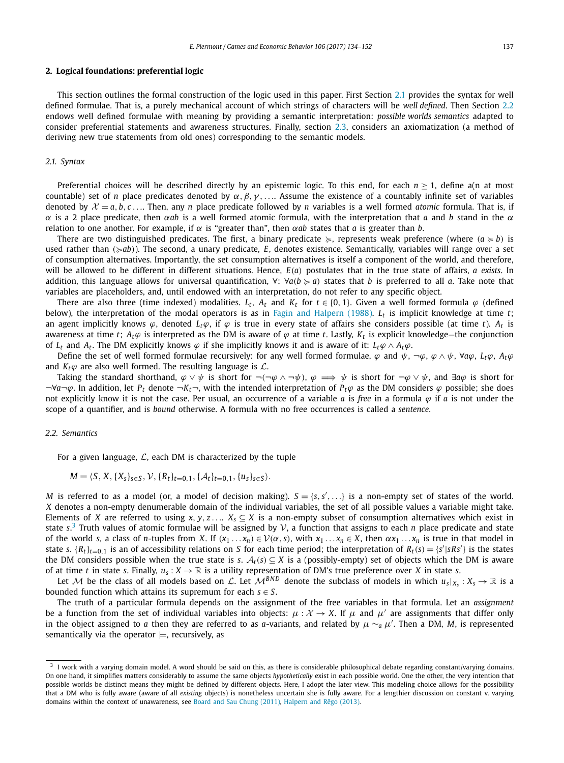#### <span id="page-3-0"></span>**2. Logical foundations: preferential logic**

This section outlines the formal construction of the logic used in this paper. First Section 2.1 provides the syntax for well defined formulae. That is, a purely mechanical account of which strings of characters will be *well defined*. Then Section 2.2 endows well defined formulae with meaning by providing a semantic interpretation: *possible worlds semantics* adapted to consider preferential statements and awareness structures. Finally, section [2.3,](#page-4-0) considers an axiomatization (a method of deriving new true statements from old ones) corresponding to the semantic models.

#### *2.1. Syntax*

Preferential choices will be described directly by an epistemic logic. To this end, for each  $n \ge 1$ , define a(n at most countable) set of *n* place predicates denoted by  $\alpha$ ,  $\beta$ ,  $\gamma$ , .... Assume the existence of a countably infinite set of variables denoted by  $\mathcal{X} = a, b, c, \dots$  Then, any *n* place predicate followed by *n* variables is a well formed *atomic* formula. That is, if *α* is a 2 place predicate, then *αab* is a well formed atomic formula, with the interpretation that *a* and *b* stand in the *α* relation to one another. For example, if *α* is "greater than", then *αab* states that *a* is greater than *b*.

There are two distinguished predicates. The first, a binary predicate  $\succcurlyeq$ , represents weak preference (where  $(a \succcurlyeq b)$  is used rather than  $(\geq ab)$ ). The second, a unary predicate, E, denotes existence. Semantically, variables will range over a set of consumption alternatives. Importantly, the set consumption alternatives is itself a component of the world, and therefore, will be allowed to be different in different situations. Hence, *E(a)* postulates that in the true state of affairs, *a exists*. In addition, this language allows for universal quantification, ∀: ∀*a(b a)* states that *b* is preferred to all *a*. Take note that variables are placeholders, and, until endowed with an interpretation, do not refer to any specific object.

There are also three (time indexed) modalities.  $L_t$ ,  $A_t$  and  $K_t$  for  $t \in \{0, 1\}$ . Given a well formed formula  $\varphi$  (defined below), the interpretation of the modal operators is as in Fagin and [Halpern \(1988\).](#page-18-0)  $L_t$  is implicit knowledge at time  $t$ ; an agent implicitly knows  $\varphi$ , denoted  $L_t\varphi$ , if  $\varphi$  is true in every state of affairs she considers possible (at time *t*).  $A_t$  is awareness at time *t*;  $A_t\varphi$  is interpreted as the DM is aware of  $\varphi$  at time *t*. Lastly,  $K_t$  is explicit knowledge—the conjunction of *L<sub>t</sub>* and *A<sub>t</sub>*. The DM explicitly knows  $\varphi$  if she implicitly knows it and is aware of it:  $L_t\varphi \wedge A_t\varphi$ .

Define the set of well formed formulae recursively: for any well formed formulae,  $\varphi$  and  $\psi$ ,  $\neg \varphi$ ,  $\varphi \wedge \psi$ ,  $\neg \varphi$ ,  $L_t \varphi$ ,  $A_t \varphi$ and  $K_t\varphi$  are also well formed. The resulting language is  $\mathcal{L}$ .

Taking the standard shorthand,  $\varphi \vee \psi$  is short for  $\neg(\neg \varphi \wedge \neg \psi)$ ,  $\varphi \implies \psi$  is short for  $\neg \varphi \vee \psi$ , and  $\exists a\varphi$  is short for ¬∀*a*¬*ϕ*. In addition, let *Pt* denote ¬*Kt*¬, with the intended interpretation of *Ptϕ* as the DM considers *ϕ* possible; she does not explicitly know it is not the case. Per usual, an occurrence of a variable *a* is *free* in a formula *ϕ* if *a* is not under the scope of a quantifier, and is *bound* otherwise. A formula with no free occurrences is called a *sentence*.

#### *2.2. Semantics*

For a given language,  $\mathcal{L}$ , each DM is characterized by the tuple

$$
M = \langle S, X, \{X_s\}_{s \in S}, \mathcal{V}, \{R_t\}_{t=0,1}, \{\mathcal{A}_t\}_{t=0,1}, \{u_s\}_{s \in S}\rangle.
$$

*M* is referred to as a model (or, a model of decision making).  $S = \{s, s', ...\}$  is a non-empty set of states of the world. *X* denotes a non-empty denumerable domain of the individual variables, the set of all possible values a variable might take. Elements of *X* are referred to using *x*, *y*, *z*  $\ldots$  *X*<sub>s</sub>  $\subseteq$  *X* is a non-empty subset of consumption alternatives which exist in state *s*. <sup>3</sup> Truth values of atomic formulae will be assigned by <sup>V</sup>, <sup>a</sup> function that assigns to each *<sup>n</sup>* place predicate and state of the world s, a class of *n*-tuples from X. If  $(x_1...x_n) \in V(\alpha, s)$ , with  $x_1...x_n \in X$ , then  $\alpha x_1...x_n$  is true in that model in state *s*.  ${R_t}_{t=0,1}$  is an of accessibility relations on *S* for each time period; the interpretation of  $R_t(s) = {s'|sRs'}$  is the states the DM considers possible when the true state is *s*.  $A_t(s) \subseteq X$  is a (possibly-empty) set of objects which the DM is aware of at time *t* in state *s*. Finally,  $u_s: X \to \mathbb{R}$  is a utility representation of DM's true preference over *X* in state *s*.

Let M be the class of all models based on L. Let  $M^{BND}$  denote the subclass of models in which  $u_s|_{X_s}: X_s \to \mathbb{R}$  is a bounded function which attains its supremum for each  $s \in S$ .

The truth of a particular formula depends on the assignment of the free variables in that formula. Let an *assignment* be a function from the set of individual variables into objects:  $\mu : \mathcal{X} \to X$ . If  $\mu$  and  $\mu'$  are assignments that differ only in the object assigned to  $a$  then they are referred to as  $a$ -variants, and related by  $\mu\sim_a\mu'$ . Then a DM, M, is represented semantically via the operator  $\models$ , recursively, as

 $3$  I work with a varying domain model. A word should be said on this, as there is considerable philosophical debate regarding constant/varying domains. On one hand, it simplifies matters considerably to assume the same objects *hypothetically* exist in each possible world. One the other, the very intention that possible worlds be distinct means they might be defined by different objects. Here, I adopt the later view. This modeling choice allows for the possibility that a DM who is fully aware (aware of all *existing* objects) is nonetheless uncertain she is fully aware. For a lengthier discussion on constant v. varying domains within the context of unawareness, see Board and [Sau Chung \(2011\),](#page-17-0) Halpern and [Rêgo \(2013\).](#page-18-0)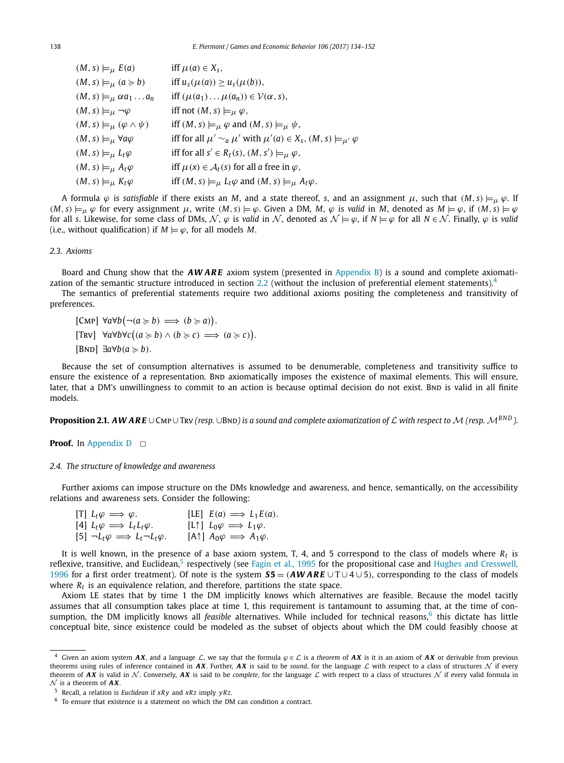<span id="page-4-0"></span>

| $(M, s) \models_{\mu} E(a)$                  | iff $\mu(a) \in X_s$ ,                                                                  |
|----------------------------------------------|-----------------------------------------------------------------------------------------|
| $(M, s) \models_{\mu} (a \succcurlyeq b)$    | iff $u_s(\mu(a)) \geq u_s(\mu(b)),$                                                     |
| $(M, s) \models_{\mu} \alpha a_1 \dots a_n$  | iff $(\mu(a_1) \dots \mu(a_n)) \in \mathcal{V}(\alpha, s)$ ,                            |
| $(M, s) \models_{\mu} \neg \varphi$          | iff not $(M, s) \models_{\mu} \varphi$ ,                                                |
| $(M, s) \models_{\mu} (\varphi \wedge \psi)$ | iff $(M, s) \models_{\mu} \varphi$ and $(M, s) \models_{\mu} \psi$ ,                    |
| $(M, s) \models_{\mu} \forall a \varphi$     | iff for all $\mu' \sim_a \mu'$ with $\mu'(a) \in X_s$ , $(M, s) \models_{\mu'} \varphi$ |
| $(M, s) \models_{\mu} L_t \varphi$           | iff for all $s' \in R_t(s)$ , $(M, s') \models_{\mu} \varphi$ ,                         |
| $(M, s) \models_{\mu} A_t \varphi$           | iff $\mu(x) \in A_t(s)$ for all <i>a</i> free in $\varphi$ ,                            |
| $(M, s) \models_{\mu} K_t \varphi$           | iff $(M, s) \models_{\mu} L_t \varphi$ and $(M, s) \models_{\mu} A_t \varphi$ .         |

A formula  $\varphi$  is *satisfiable* if there exists an *M*, and a state thereof, *s*, and an assignment  $\mu$ , such that  $(M, s) \models_{\mu} \varphi$ . If  $(M, s) \models_{\mu} \varphi$  for every assignment  $\mu$ , write  $(M, s) \models \varphi$ . Given a DM, M,  $\varphi$  is valid in M, denoted as  $M \models \varphi$ , if  $(M, s) \models \varphi$ for all *s*. Likewise, for some class of DMs,  $\mathcal{N}, \varphi$  is *valid* in  $\mathcal{N}$ , denoted as  $\mathcal{N} \models \varphi$ , if  $N \models \varphi$  for all  $N \in \mathcal{N}$ . Finally,  $\varphi$  is *valid* (i.e., without qualification) if  $M \models \varphi$ , for all models M.

#### *2.3. Axioms*

Board and Chung show that the *AW ARE* axiom system (presented in [Appendix B\)](#page-15-0) is a sound and complete axiomati-zation of the semantic structure introduced in section [2.2](#page-3-0) (without the inclusion of preferential element statements).<sup>4</sup>

The semantics of preferential statements require two additional axioms positing the completeness and transitivity of preferences.

 $[CMP] \forall a \forall b (\neg (a \succcurlyeq b) \implies (b \succcurlyeq a)).$ 

- $[TRV] \ \forall a \forall b \forall c ((a \succcurlyeq b) \land (b \succcurlyeq c) \implies (a \succcurlyeq c)).$
- $[BND]$  ∃ $a \forall b (a \succcurlyeq b)$ .

Because the set of consumption alternatives is assumed to be denumerable, completeness and transitivity suffice to ensure the existence of a representation. Bnp axiomatically imposes the existence of maximal elements. This will ensure, later, that a DM's unwillingness to commit to an action is because optimal decision do not exist. BND is valid in all finite models.

**Proposition 2.1. AWARE**  $\cup$  CMP  $\cup$  TRV (resp.  $\cup$ BND) is a sound and complete axiomatization of  $\mathcal L$  with respect to  $\mathcal M$  (resp.  $\mathcal M^{BND}$ ).

#### **Proof.** In Appendix  $D \Box$

#### *2.4. The structure of knowledge and awareness*

Further axioms can impose structure on the DMs knowledge and awareness, and hence, semantically, on the accessibility relations and awareness sets. Consider the following:

| [T] $L_t \varphi \implies \varphi$ .                  | [LE] $E(a) \implies L_1 E(a)$ .                  |
|-------------------------------------------------------|--------------------------------------------------|
| $[4] L_t \varphi \implies L_t L_t \varphi$ .          | $[L \uparrow] L_0 \varphi \implies L_1 \varphi.$ |
| $[5] \neg L_t \varphi \implies L_t \neg L_t \varphi.$ | $[A\uparrow]$ $A_0\varphi \implies A_1\varphi$ . |

It is well known, in the presence of a base axiom system, T, 4, and 5 correspond to the class of models where  $R_t$  is reflexive, transitive, and Euclidean,<sup>5</sup> respectively (see [Fagin](#page-18-0) et al., 1995 for the propositional case and Hughes and [Cresswell,](#page-18-0) [1996](#page-18-0) for a first order treatment). Of note is the system  $S5 = (AWARE \cup T \cup 4 \cup 5)$ , corresponding to the class of models where  $R_t$  is an equivalence relation, and therefore, partitions the state space.

Axiom LE states that by time 1 the DM implicitly knows which alternatives are feasible. Because the model tacitly assumes that all consumption takes place at time 1, this requirement is tantamount to assuming that, at the time of consumption, the DM implicitly knows all *feasible* alternatives. While included for technical reasons,<sup>6</sup> this dictate has little conceptual bite, since existence could be modeled as the subset of objects about which the DM could feasibly choose at

<sup>&</sup>lt;sup>4</sup> Given an axiom system *AX*, and a language *L*, we say that the formula  $\varphi \in \mathcal{L}$  is a *theorem* of *AX* is it is an axiom of *AX* or derivable from previous theorems using rules of inference contained in *AX*. Further, *AX* is said to be *sound*, for the language  $\mathcal L$  with respect to a class of structures  $\mathcal N$  if every theorem of  $AX$  is valid in N. Conversely,  $AX$  is said to be *complete*, for the language  $\mathcal L$  with respect to a class of structures N if every valid formula in  $\mathcal N$  is a theorem of  $AX$ .

<sup>5</sup> Recall, a relation is *Euclidean* if *xRy* and *xRz* imply *yRz*.

 $6$  To ensure that existence is a statement on which the DM can condition a contract.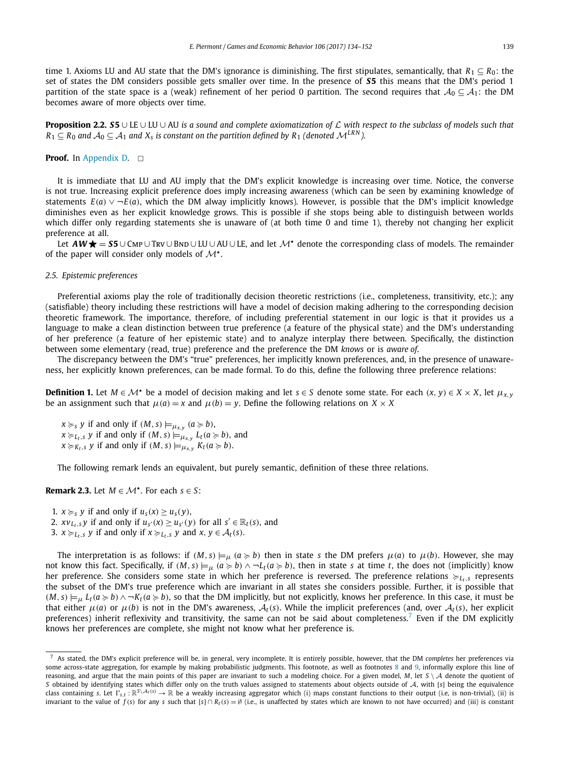<span id="page-5-0"></span>time 1. Axioms LU and AU state that the DM's ignorance is diminishing. The first stipulates, semantically, that  $R_1 \subseteq R_0$ : the set of states the DM considers possible gets smaller over time. In the presence of *S***5** this means that the DM's period 1 partition of the state space is a (weak) refinement of her period 0 partition. The second requires that  $A_0 \subseteq A_1$ : the DM becomes aware of more objects over time.

**Proposition 2.2. S5**  $\cup$  LE  $\cup$  LU  $\cup$  AU is a sound and complete axiomatization of  $\mathcal L$  with respect to the subclass of models such that  $R_1 \subseteq R_0$  *and*  $A_0 \subseteq A_1$  *and*  $X_s$  *is constant on the partition defined by*  $R_1$  *(denoted*  $\mathcal{M}^{LRN}$ ).

#### **Proof.** In Appendix  $D$ .  $\Box$

It is immediate that LU and AU imply that the DM's explicit knowledge is increasing over time. Notice, the converse is not true. Increasing explicit preference does imply increasing awareness (which can be seen by examining knowledge of statements  $E(a) \vee \neg E(a)$ , which the DM alway implicitly knows). However, is possible that the DM's implicit knowledge diminishes even as her explicit knowledge grows. This is possible if she stops being able to distinguish between worlds which differ only regarding statements she is unaware of (at both time 0 and time 1), thereby not changing her explicit preference at all.

Let  $AW \bigstar = S5 \cup \text{CMP} \cup \text{Tr} \cup \text{BND} \cup \text{LU} \cup \text{AU} \cup \text{LE}$ , and let  $\mathcal{M}^*$  denote the corresponding class of models. The remainder of the paper will consider only models of  $\mathcal{M}^*$ .

#### *2.5. Epistemic preferences*

Preferential axioms play the role of traditionally decision theoretic restrictions (i.e., completeness, transitivity, etc.); any (satisfiable) theory including these restrictions will have a model of decision making adhering to the corresponding decision theoretic framework. The importance, therefore, of including preferential statement in our logic is that it provides us a language to make a clean distinction between true preference (a feature of the physical state) and the DM's understanding of her preference (a feature of her epistemic state) and to analyze interplay there between. Specifically, the distinction between some elementary (read, true) preference and the preference the DM *knows* or is *aware of*.

The discrepancy between the DM's "true" preferences, her implicitly known preferences, and, in the presence of unawareness, her explicitly known preferences, can be made formal. To do this, define the following three preference relations:

**Definition 1.** Let  $M \in \mathcal{M}^*$  be a model of decision making and let  $s \in S$  denote some state. For each  $(x, y) \in X \times X$ , let  $\mu_{x,y}$ be an assignment such that  $\mu(a) = x$  and  $\mu(b) = y$ . Define the following relations on  $X \times X$ 

 $x \geq s$  *y* if and only if  $(M, s) \models \mu_{x,y} (a \geq b)$ ,  $x \geq L_t$ , *s y* if and only if  $(M, s) \models \mu_{x,y} L_t(a \geq b)$ , and  $X \geq K_t$ , *s y* if and only if  $(M, s) \models \mu_{x,y} K_t(a \geq b)$ .

The following remark lends an equivalent, but purely semantic, definition of these three relations.

**Remark 2.3.** Let  $M \in \mathcal{M}^*$ . For each  $s \in S$ :

1.  $x \geq g$  *y* if and only if  $u_s(x) \geq u_s(y)$ ,

2.  $xv_{L_t,s}y$  if and only if  $u_{s'}(x) \ge u_{s'}(y)$  for all  $s' \in \mathbb{R}_t(s)$ , and

3.  $x \succcurlyeq_{L_t,s} y$  if and only if  $x \succcurlyeq_{L_t,s} y$  and  $x, y \in A_t(s)$ .

The interpretation is as follows: if  $(M, s) \models \mu (a \succcurlyeq b)$  then in state s the DM prefers  $\mu(a)$  to  $\mu(b)$ . However, she may not know this fact. Specifically, if  $(M, s) \models_{\mu} (a \succ b) \land \neg L_t(a \succ b)$ , then in state s at time t, the does not (implicitly) know her preference. She considers some state in which her preference is reversed. The preference relations  $\succcurlyeq_{t,s}$  represents the subset of the DM's true preference which are invariant in all states she considers possible. Further, it is possible that  $(M, s) \models_{u} L_{t}(a \ge b) \land \neg K_{t}(a \ge b)$ , so that the DM implicitly, but not explicitly, knows her preference. In this case, it must be that either *μ(a)* or *μ(b)* is not in the DM's awareness,  $A_t(s)$ . While the implicit preferences (and, over  $A_t(s)$ , her explicit preferences) inherit reflexivity and transitivity, the same can not be said about completeness.<sup>7</sup> Even if the DM explicitly knows her preferences are complete, she might not know what her preference is.

<sup>7</sup> As stated, the DM's explicit preference will be, in general, very incomplete. It is entirely possible, however, that the DM *completes* her preferences via some across-state aggregation, for example by making probabilistic judgments. This footnote, as well as footnotes [8](#page-7-0) and [9,](#page-10-0) informally explore this line of reasoning, and argue that the main points of this paper are invariant to such <sup>a</sup> modeling choice. For <sup>a</sup> given model, *<sup>M</sup>*, let *<sup>S</sup>* \ A denote the quotient of *<sup>S</sup>* obtained by identifying states which differ only on the truth values assigned to statements about objects outside of A, with [*s*] being the equivalence class containing s. Let  $\Gamma_{s,t} : \mathbb{R}^{S\setminus A_t(s)} \to \mathbb{R}$  be a weakly increasing aggregator which (i) maps constant functions to their output (i.e, is non-trivial), (ii) is invariant to the value of  $f(s)$  for any s such that  $[s] \cap R_t(s) = \emptyset$  (i.e., is unaffected by states which are known to not have occurred) and (iii) is constant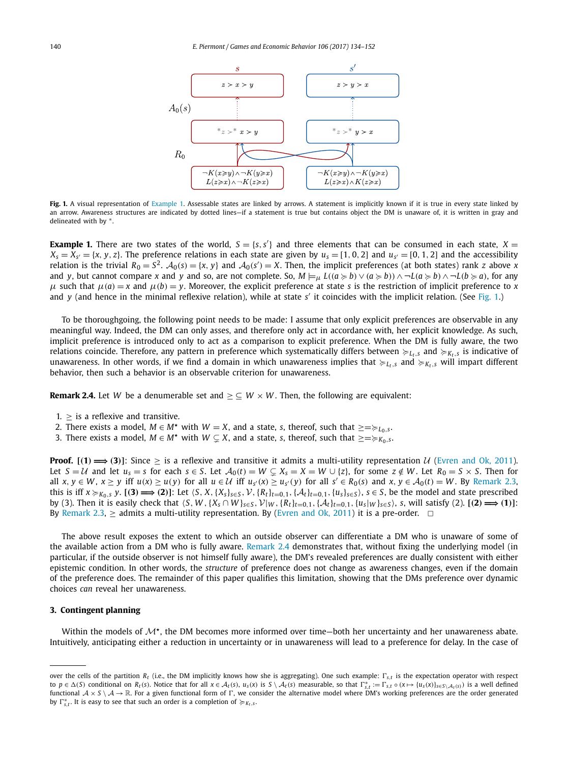<span id="page-6-0"></span>

Fig. 1. A visual representation of Example 1. Assessable states are linked by arrows. A statement is implicitly known if it is true in every state linked by an arrow. Awareness structures are indicated by dotted lines—if a statement is true but contains object the DM is unaware of, it is written in gray and delineated with by <sup>∗</sup>.

**Example 1.** There are two states of the world,  $S = \{s, s'\}$  and three elements that can be consumed in each state,  $X =$  $X_s = X_{s'} = \{x, y, z\}$ . The preference relations in each state are given by  $u_s = [1, 0, 2]$  and  $u_{s'} = [0, 1, 2]$  and the accessibility relation is the trivial  $R_0 = S^2$ .  $A_0(s) = \{x, y\}$  and  $A_0(s') = X$ . Then, the implicit preferences (at both states) rank *z* above *x* and y, but cannot compare x and y and so, are not complete. So,  $M \models_L L((a \succcurlyeq b) \vee (a \succcurlyeq b)) \wedge \neg L(a \succcurlyeq b) \wedge \neg L(b \succcurlyeq a)$ , for any *μ* such that  $μ(a) = x$  and  $μ(b) = γ$ . Moreover, the explicit preference at state *s* is the restriction of implicit preference to *x* and *y* (and hence in the minimal reflexive relation), while at state  $s'$  it coincides with the implicit relation. (See Fig. 1.)

To be thoroughgoing, the following point needs to be made: I assume that only explicit preferences are observable in any meaningful way. Indeed, the DM can only asses, and therefore only act in accordance with, her explicit knowledge. As such, implicit preference is introduced only to act as a comparison to explicit preference. When the DM is fully aware, the two relations coincide. Therefore, any pattern in preference which systematically differs between  $\succcurlyeq_{L_t,s}$  and  $\succcurlyeq_{K_t,s}$  is indicative of unawareness. In other words, if we find a domain in which unawareness implies that  $\succcurlyeq_{L,s}$  and  $\succcurlyeq_{K,s}$  will impart different behavior, then such a behavior is an observable criterion for unawareness.

**Remark 2.4.** Let *W* be a denumerable set and  $\geq \subseteq W \times W$ . Then, the following are equivalent:

- $1.$  > is a reflexive and transitive.
- 2. There exists a model,  $M \in M^*$  with  $W = X$ , and a state, *s*, thereof, such that  $\geq =\geq L_0$ *s*.
- 3. There exists a model,  $M \in M^{\star}$  with  $W \subsetneq X$ , and a state, *s*, thereof, such that  $\geq =\succcurlyeq_{K_0,S}$ .

**Proof.**  $[(1) \rightarrow (3)]$ : Since > is a reflexive and transitive it admits a multi-utility representation U [\(Evren](#page-18-0) and Ok, 2011). Let  $S = U$  and let  $u_s = s$  for each  $s \in S$ . Let  $\mathcal{A}_0(t) = W \subsetneq X_s = X = W \cup \{z\}$ , for some  $z \notin W$ . Let  $R_0 = S \times S$ . Then for all  $x, y \in W$ ,  $x \ge y$  iff  $u(x) \ge u(y)$  for all  $u \in U$  iff  $u_{s'}(x) \ge u_{s'}(y)$  for all  $s' \in R_0(s)$  and  $x, y \in A_0(t) = W$ . By [Remark 2.3,](#page-5-0) this is iff  $x \succeq_{K_0,s} y$ . [(3)  $\Longrightarrow$  (2)]: Let  $\langle S, X, \{X_s\}_{s \in S}, \mathcal{V}, \{R_t\}_{t=0,1}, \{A_t\}_{t=0,1}, \{u_s\}_{s \in S}, s \in S$ , be the model and state prescribed by (3). Then it is easily check that  $\langle S, W, \{X_s \cap W\}_{s \in S}, \mathcal{V}|_W, \{R_t\}_{t=0,1}, \{\mathcal{A}_t\}_{t=0,1}, \{u_s|_W\}_{s \in S}$ , s, will satisfy (2). [(2)  $\Longrightarrow$  (1)]: By [Remark 2.3,](#page-5-0)  $\geq$  admits a multi-utility representation. By [\(Evren](#page-18-0) and Ok, 2011) it is a pre-order.  $\Box$ 

The above result exposes the extent to which an outside observer can differentiate a DM who is unaware of some of the available action from a DM who is fully aware. Remark 2.4 demonstrates that, without fixing the underlying model (in particular, if the outside observer is not himself fully aware), the DM's revealed preferences are dually consistent with either epistemic condition. In other words, the *structure* of preference does not change as awareness changes, even if the domain of the preference does. The remainder of this paper qualifies this limitation, showing that the DMs preference over dynamic choices *can* reveal her unawareness.

#### **3. Contingent planning**

Within the models of  $M^*$ , the DM becomes more informed over time—both her uncertainty and her unawareness abate. Intuitively, anticipating either a reduction in uncertainty or in unawareness will lead to a preference for delay. In the case of

over the cells of the partition  $R_t$  (i.e., the DM implicitly knows how she is aggregating). One such example:  $\Gamma_{s,t}$  is the expectation operator with respect to  $p \in \Delta(S)$  conditional on  $R_t(s)$ . Notice that for all  $x \in A_t(s)$ ,  $u_s(x)$  is  $S \setminus A_t(s)$  measurable, so that  $\Gamma_{s,t}^* := \Gamma_{s,t} \circ (x \mapsto \{u_s(x)\}_{s \in S \setminus A_t(s)})$  is a well defined functional  $A \times S \setminus A \to \mathbb{R}$ . For a given functional form of *\*, we consider the alternative model where DM's working preferences are the order generated by  $\Gamma_{s,t}^*$ . It is easy to see that such an order is a completion of  $\succcurlyeq_{K_t,s}$ .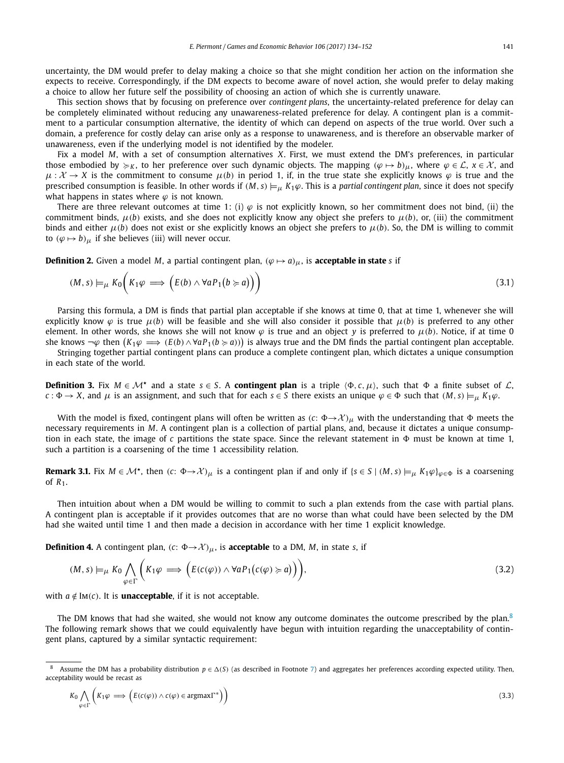<span id="page-7-0"></span>uncertainty, the DM would prefer to delay making a choice so that she might condition her action on the information she expects to receive. Correspondingly, if the DM expects to become aware of novel action, she would prefer to delay making a choice to allow her future self the possibility of choosing an action of which she is currently unaware.

This section shows that by focusing on preference over *contingent plans*, the uncertainty-related preference for delay can be completely eliminated without reducing any unawareness-related preference for delay. A contingent plan is a commitment to a particular consumption alternative, the identity of which can depend on aspects of the true world. Over such a domain, a preference for costly delay can arise only as a response to unawareness, and is therefore an observable marker of unawareness, even if the underlying model is not identified by the modeler.

Fix a model *M*, with a set of consumption alternatives *X*. First, we must extend the DM's preferences, in particular those embodied by  $\succcurlyeq_K$ , to her preference over such dynamic objects. The mapping  $(\varphi \mapsto b)_\mu$ , where  $\varphi \in \mathcal{L}$ ,  $x \in \mathcal{X}$ , and  $\mu$  :  $\chi \rightarrow \chi$  is the commitment to consume  $\mu$ (*b*) in period 1, if, in the true state she explicitly knows  $\varphi$  is true and the prescribed consumption is feasible. In other words if  $(M, s) \models_{\mu} K_1 \varphi$ . This is a *partial contingent plan*, since it does not specify what happens in states where  $\varphi$  is not known.

There are three relevant outcomes at time 1: (i)  $\varphi$  is not explicitly known, so her commitment does not bind, (ii) the commitment binds,  $μ(b)$  exists, and she does not explicitly know any object she prefers to  $μ(b)$ , or, (iii) the commitment binds and either  $\mu(b)$  does not exist or she explicitly knows an object she prefers to  $\mu(b)$ . So, the DM is willing to commit to  $(\varphi \mapsto b)_\mu$  if she believes (iii) will never occur.

**Definition 2.** Given a model *M*, a partial contingent plan,  $(\varphi \mapsto a)_{\mu}$ , is **acceptable in state** *s* if

$$
(M, s) \models_{\mu} K_0 \bigg( K_1 \varphi \implies \Big( E(b) \land \forall a P_1 \big( b \geq a \big) \Big) \bigg) \tag{3.1}
$$

Parsing this formula, a DM is finds that partial plan acceptable if she knows at time 0, that at time 1, whenever she will explicitly know  $\varphi$  is true  $\mu(b)$  will be feasible and she will also consider it possible that  $\mu(b)$  is preferred to any other element. In other words, she knows she will not know  $\varphi$  is true and an object  $\gamma$  is preferred to  $\mu(b)$ . Notice, if at time 0 she knows  $\neg\varphi$  then  $(K_1\varphi \implies (E(b) \wedge \forall aP_1(b \succ a))$  is always true and the DM finds the partial contingent plan acceptable.

Stringing together partial contingent plans can produce a complete contingent plan, which dictates a unique consumption in each state of the world.

**Definition 3.** Fix  $M \in \mathcal{M}^*$  and a state  $s \in S$ . A **contingent plan** is a triple  $\langle \Phi, c, \mu \rangle$ , such that  $\Phi$  a finite subset of  $\mathcal{L}$ ,  $c : \Phi \to X$ , and  $\mu$  is an assignment, and such that for each  $s \in S$  there exists an unique  $\varphi \in \Phi$  such that  $(M, s) \models_{\mu} K_1 \varphi$ .

With the model is fixed, contingent plans will often be written as  $(c: \Phi \to \mathcal{X})_{\mu}$  with the understanding that  $\Phi$  meets the necessary requirements in *M*. A contingent plan is a collection of partial plans, and, because it dictates a unique consumption in each state, the image of  $c$  partitions the state space. Since the relevant statement in  $\Phi$  must be known at time 1, such a partition is a coarsening of the time 1 accessibility relation.

**Remark 3.1.** Fix  $M \in \mathcal{M}^*$ , then  $(c: \Phi \to \mathcal{X})_\mu$  is a contingent plan if and only if  $\{s \in S \mid (M, s) \models_\mu K_1 \varphi\}_{\varphi \in \Phi}$  is a coarsening of *R*1.

Then intuition about when a DM would be willing to commit to such a plan extends from the case with partial plans. A contingent plan is acceptable if it provides outcomes that are no worse than what could have been selected by the DM had she waited until time 1 and then made a decision in accordance with her time 1 explicit knowledge.

**Definition 4.** A contingent plan,  $(c: \Phi \rightarrow \mathcal{X})_{\mu}$ , is **acceptable** to a DM, *M*, in state *s*, if

$$
(M,s) \models_{\mu} K_0 \bigwedge_{\varphi \in \Gamma} \left( K_1 \varphi \implies \left( E(c(\varphi)) \land \forall a P_1 \big( c(\varphi) \geq a \big) \right) \right), \tag{3.2}
$$

with  $a \notin M(c)$ . It is **unacceptable**, if it is not acceptable.

The DM knows that had she waited, she would not know any outcome dominates the outcome prescribed by the plan.<sup>8</sup> The following remark shows that we could equivalently have begun with intuition regarding the unacceptability of contingent plans, captured by a similar syntactic requirement:

$$
K_0 \bigwedge_{\varphi \in \Gamma} \left( K_1 \varphi \implies \left( E(c(\varphi)) \land c(\varphi) \in \text{argmax} \Gamma^* \right) \right) \tag{3.3}
$$

<sup>&</sup>lt;sup>8</sup> Assume the DM has a probability distribution  $p \in \Delta(S)$  (as described in Footnote [7\)](#page-5-0) and aggregates her preferences according expected utility. Then, acceptability would be recast as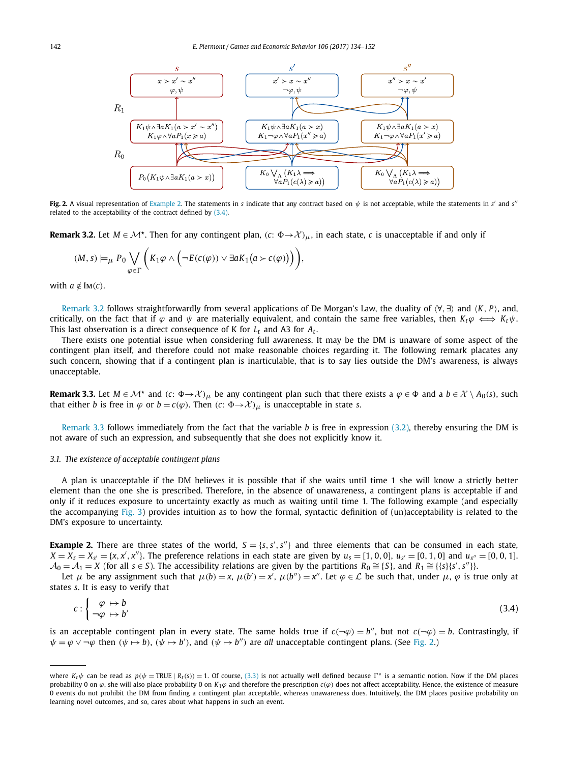<span id="page-8-0"></span>

**Fig. 2.** A visual representation of Example 2. The statements in *s* indicate that any contract based on  $\psi$  is not acceptable, while the statements in *s'* and *s''* related to the acceptability of the contract defined by  $(3.4)$ .

**Remark 3.2.** Let  $M \in \mathcal{M}^*$ . Then for any contingent plan,  $(c: \Phi \to \mathcal{X})_\mu$ , in each state, *c* is unacceptable if and only if

$$
(M, s) \models_{\mu} P_0 \bigvee_{\varphi \in \Gamma} \bigg( K_1 \varphi \wedge \big( \neg E(c(\varphi)) \vee \exists a K_1 \big( a \succ c(\varphi) \big) \big) \bigg),
$$

with  $a \notin M(c)$ .

Remark 3.2 follows straightforwardly from several applications of De Morgan's Law, the duality of ∀*,* ∃ and *K, P*, and, critically, on the fact that if  $\varphi$  and  $\psi$  are materially equivalent, and contain the same free variables, then  $K_t\varphi \iff K_t\psi$ . This last observation is a direct consequence of K for *Lt* and A3 for *At*.

There exists one potential issue when considering full awareness. It may be the DM is unaware of some aspect of the contingent plan itself, and therefore could not make reasonable choices regarding it. The following remark placates any such concern, showing that if a contingent plan is inarticulable, that is to say lies outside the DM's awareness, is always unacceptable.

**Remark 3.3.** Let  $M \in \mathcal{M}^*$  and  $(c: \Phi \to \mathcal{X})_\mu$  be any contingent plan such that there exists a  $\varphi \in \Phi$  and a  $b \in \mathcal{X} \setminus A_0(s)$ , such that either *b* is free in  $\varphi$  or  $b = c(\varphi)$ . Then  $(c: \Phi \rightarrow \mathcal{X})_{\mu}$  is unacceptable in state *s*.

Remark 3.3 follows immediately from the fact that the variable *b* is free in expression [\(3.2\),](#page-7-0) thereby ensuring the DM is not aware of such an expression, and subsequently that she does not explicitly know it.

#### *3.1. The existence of acceptable contingent plans*

A plan is unacceptable if the DM believes it is possible that if she waits until time 1 she will know a strictly better element than the one she is prescribed. Therefore, in the absence of unawareness, a contingent plans is acceptable if and only if it reduces exposure to uncertainty exactly as much as waiting until time 1. The following example (and especially the accompanying [Fig. 3\)](#page-9-0) provides intuition as to how the formal, syntactic definition of (un)acceptability is related to the DM's exposure to uncertainty.

**Example 2.** There are three states of the world,  $S = \{s, s', s''\}$  and three elements that can be consumed in each state,  $X=X_s=X_{s'}=\{x,x',x''\}.$  The preference relations in each state are given by  $u_s=[1,0,0],~u_{s'}=[0,1,0]$  and  $u_{s''}=[0,0,1].$  $A_0 = A_1 = X$  (for all  $s \in S$ ). The accessibility relations are given by the partitions  $R_0 \cong \{S\}$ , and  $R_1 \cong \{\{s\}\{s', s''\}\}$ .

Let  $\mu$  be any assignment such that  $\mu(b) = x$ ,  $\mu(b') = x'$ ,  $\mu(b'') = x''$ . Let  $\varphi \in \mathcal{L}$  be such that, under  $\mu$ ,  $\varphi$  is true only at states *s*. It is easy to verify that

$$
c: \begin{cases} \varphi \mapsto b \\ \neg \varphi \mapsto b' \end{cases} \tag{3.4}
$$

is an acceptable contingent plan in every state. The same holds true if  $c(\neg \varphi) = b'$ , but not  $c(\neg \varphi) = b$ . Contrastingly, if  $\psi = \varphi \vee \neg \varphi$  then  $(\psi \mapsto b)$ ,  $(\psi \mapsto b')$ , and  $(\psi \mapsto b'')$  are *all* unacceptable contingent plans. (See Fig. 2.)

where  $K_t\psi$  can be read as  $p(\psi = \text{TRUE} | R_t(s)) = 1$ . Of course, [\(3.3\)](#page-7-0) is not actually well defined because  $\Gamma^*$  is a semantic notion. Now if the DM places probability 0 on  $\varphi$ , she will also place probability 0 on  $K_1\varphi$  and therefore the prescription  $c(\varphi)$  does not affect acceptability. Hence, the existence of measure 0 events do not prohibit the DM from finding a contingent plan acceptable, whereas unawareness does. Intuitively, the DM places positive probability on learning novel outcomes, and so, cares about what happens in such an event.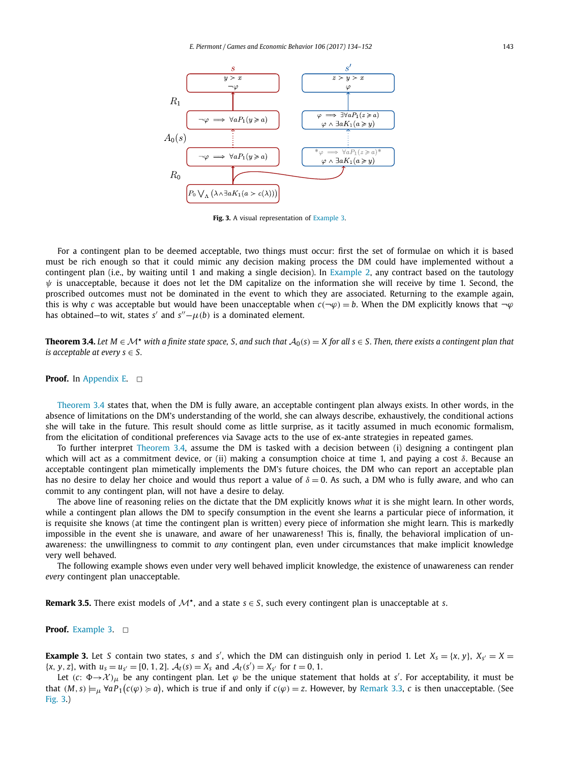<span id="page-9-0"></span>

**Fig. 3.** A visual representation of Example 3.

For a contingent plan to be deemed acceptable, two things must occur: first the set of formulae on which it is based must be rich enough so that it could mimic any decision making process the DM could have implemented without a contingent plan (i.e., by waiting until 1 and making a single decision). In [Example 2,](#page-8-0) any contract based on the tautology *ψ* is unacceptable, because it does not let the DM capitalize on the information she will receive by time 1. Second, the proscribed outcomes must not be dominated in the event to which they are associated. Returning to the example again, this is why *c* was acceptable but would have been unacceptable when  $c(\neg \varphi) = b$ . When the DM explicitly knows that  $\neg \varphi$ has obtained—to wit, states *s'* and  $s'' - \mu(b)$  is a dominated element.

**Theorem 3.4.** Let  $M \in \mathcal{M}^*$  with a finite state space, S, and such that  $A_0(s) = X$  for all  $s \in S$ . Then, there exists a contingent plan that *is acceptable at every*  $s \in S$ .

#### **Proof.** In [Appendix E.](#page-17-0)  $\Box$

Theorem 3.4 states that, when the DM is fully aware, an acceptable contingent plan always exists. In other words, in the absence of limitations on the DM's understanding of the world, she can always describe, exhaustively, the conditional actions she will take in the future. This result should come as little surprise, as it tacitly assumed in much economic formalism, from the elicitation of conditional preferences via Savage acts to the use of ex-ante strategies in repeated games.

To further interpret Theorem 3.4, assume the DM is tasked with a decision between (i) designing a contingent plan which will act as a commitment device, or (ii) making a consumption choice at time 1, and paying a cost *δ*. Because an acceptable contingent plan mimetically implements the DM's future choices, the DM who can report an acceptable plan has no desire to delay her choice and would thus report a value of *δ* = 0. As such, a DM who is fully aware, and who can commit to any contingent plan, will not have a desire to delay.

The above line of reasoning relies on the dictate that the DM explicitly knows *what* it is she might learn. In other words, while a contingent plan allows the DM to specify consumption in the event she learns a particular piece of information, it is requisite she knows (at time the contingent plan is written) every piece of information she might learn. This is markedly impossible in the event she is unaware, and aware of her unawareness! This is, finally, the behavioral implication of unawareness: the unwillingness to commit to *any* contingent plan, even under circumstances that make implicit knowledge very well behaved.

The following example shows even under very well behaved implicit knowledge, the existence of unawareness can render *every* contingent plan unacceptable.

**Remark 3.5.** There exist models of  $\mathcal{M}^*$ , and a state  $s \in S$ , such every contingent plan is unacceptable at *s*.

#### **Proof.** Example 3. <del>□</del>

**Example 3.** Let *S* contain two states, *s* and *s'*, which the DM can distinguish only in period 1. Let  $X_s = \{x, y\}$ ,  $X_{s'} = X =$  $\{x, y, z\}$ , with  $u_s = u_{s'} = [0, 1, 2]$ .  $\mathcal{A}_t(s) = X_s$  and  $\mathcal{A}_t(s') = X_{s'}$  for  $t = 0, 1$ .

Let  $(c: \Phi \to \mathcal{X})_{\mu}$  be any contingent plan. Let  $\varphi$  be the unique statement that holds at *s'*. For acceptability, it must be that  $(M, s) \models_{\mu} \forall a P_1(c(\varphi) \geq a)$ , which is true if and only if  $c(\varphi) = z$ . However, by [Remark 3.3,](#page-8-0) *c* is then unacceptable. (See Fig. 3.)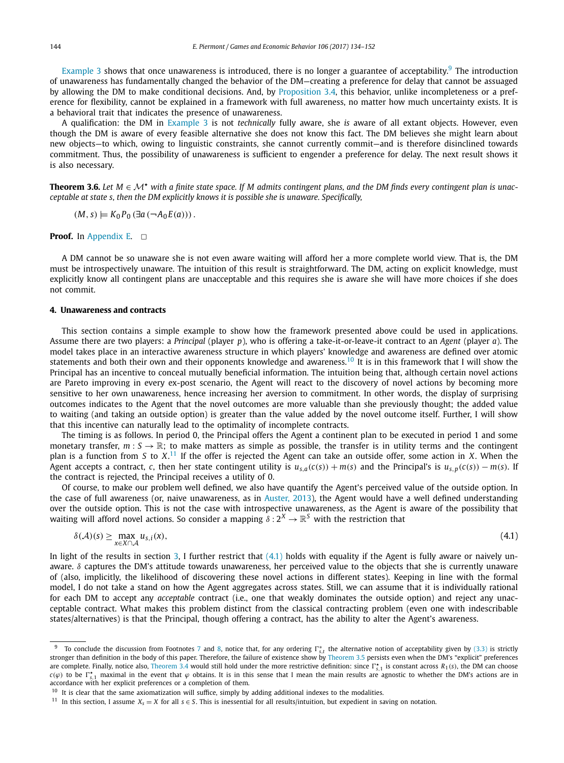<span id="page-10-0"></span>[Example 3](#page-9-0) shows that once unawareness is introduced, there is no longer a guarantee of acceptability.<sup>9</sup> The introduction of unawareness has fundamentally changed the behavior of the DM—creating a preference for delay that cannot be assuaged by allowing the DM to make conditional decisions. And, by [Proposition 3.4,](#page-9-0) this behavior, unlike incompleteness or a preference for flexibility, cannot be explained in a framework with full awareness, no matter how much uncertainty exists. It is a behavioral trait that indicates the presence of unawareness.

A qualification: the DM in [Example 3](#page-9-0) is not *technically* fully aware, she *is* aware of all extant objects. However, even though the DM is aware of every feasible alternative she does not know this fact. The DM believes she might learn about new objects—to which, owing to linguistic constraints, she cannot currently commit—and is therefore disinclined towards commitment. Thus, the possibility of unawareness is sufficient to engender a preference for delay. The next result shows it is also necessary.

**Theorem 3.6.** Let  $M \in \mathcal{M}^*$  with a finite state space. If M admits contingent plans, and the DM finds every contingent plan is unac*ceptable at state s, then the DM explicitly knows it is possible she is unaware. Specifically,*

$$
(M, s) \models K_0 P_0 (\exists a (\neg A_0 E(a))).
$$

#### **Proof.** In [Appendix E.](#page-17-0)  $\Box$

A DM cannot be so unaware she is not even aware waiting will afford her a more complete world view. That is, the DM must be introspectively unaware. The intuition of this result is straightforward. The DM, acting on explicit knowledge, must explicitly know all contingent plans are unacceptable and this requires she is aware she will have more choices if she does not commit.

### **4. Unawareness and contracts**

This section contains a simple example to show how the framework presented above could be used in applications. Assume there are two players: a *Principal* (player *p*), who is offering a take-it-or-leave-it contract to an *Agent* (player *a*). The model takes place in an interactive awareness structure in which players' knowledge and awareness are defined over atomic statements and both their own and their opponents knowledge and awareness.<sup>10</sup> It is in this framework that I will show the Principal has an incentive to conceal mutually beneficial information. The intuition being that, although certain novel actions are Pareto improving in every ex-post scenario, the Agent will react to the discovery of novel actions by becoming more sensitive to her own unawareness, hence increasing her aversion to commitment. In other words, the display of surprising outcomes indicates to the Agent that the novel outcomes are more valuable than she previously thought; the added value to waiting (and taking an outside option) is greater than the value added by the novel outcome itself. Further, I will show that this incentive can naturally lead to the optimality of incomplete contracts.

The timing is as follows. In period 0, the Principal offers the Agent a continent plan to be executed in period 1 and some monetary transfer,  $m: S \to \mathbb{R}$ ; to make matters as simple as possible, the transfer is in utility terms and the contingent plan is a function from *S* to *X*. <sup>11</sup> If the offer is rejected the Agent can take an outside offer, some action in *X*. When the Agent accepts a contract, c, then her state contingent utility is  $u_{s,a}(c(s)) + m(s)$  and the Principal's is  $u_{s,p}(c(s)) - m(s)$ . If the contract is rejected, the Principal receives a utility of 0.

Of course, to make our problem well defined, we also have quantify the Agent's perceived value of the outside option. In the case of full awareness (or, naive unawareness, as in [Auster,](#page-17-0) 2013), the Agent would have a well defined understanding over the outside option. This is not the case with introspective unawareness, as the Agent is aware of the possibility that waiting will afford novel actions. So consider a mapping  $\delta: 2^X \to \mathbb{R}^S$  with the restriction that

$$
\delta(\mathcal{A})(s) \ge \max_{x \in X \cap \mathcal{A}} u_{s,i}(x),\tag{4.1}
$$

In light of the results in section [3,](#page-6-0) I further restrict that  $(4.1)$  holds with equality if the Agent is fully aware or naively unaware. *δ* captures the DM's attitude towards unawareness, her perceived value to the objects that she is currently unaware of (also, implicitly, the likelihood of discovering these novel actions in different states). Keeping in line with the formal model, I do not take a stand on how the Agent aggregates across states. Still, we can assume that it is individually rational for each DM to accept any *acceptable* contract (i.e., one that weakly dominates the outside option) and reject any unacceptable contract. What makes this problem distinct from the classical contracting problem (even one with indescribable states/alternatives) is that the Principal, though offering a contract, has the ability to alter the Agent's awareness.

<sup>&</sup>lt;sup>9</sup> To conclude the discussion from Footnotes [7](#page-5-0) and [8,](#page-7-0) notice that, for any ordering  $\Gamma_{s,t}^{*}$  the alternative notion of acceptability given by [\(3.3\)](#page-7-0) is strictly stronger than definition in the body of this paper. Therefore, the failure of existence show by [Theorem 3.5](#page-9-0) persists even when the DM's "explicit" preferences are complete. Finally, notice also, [Theorem 3.4](#page-9-0) would still hold under the more restrictive definition: since  $\Gamma_{5,1}^*$  is constant across  $R_1(s)$ , the DM can choose *c*( $\varphi$ ) to be  $\Gamma_{s,1}^{\star}$  maximal in the event that  $\varphi$  obtains. It is in this sense that I mean the main results are agnostic to whether the DM's actions are in accordance with her explicit preferences or a completion of them.

 $10$  It is clear that the same axiomatization will suffice, simply by adding additional indexes to the modalities.

<sup>&</sup>lt;sup>11</sup> In this section, I assume  $X_s = X$  for all  $s \in S$ . This is inessential for all results/intuition, but expedient in saving on notation.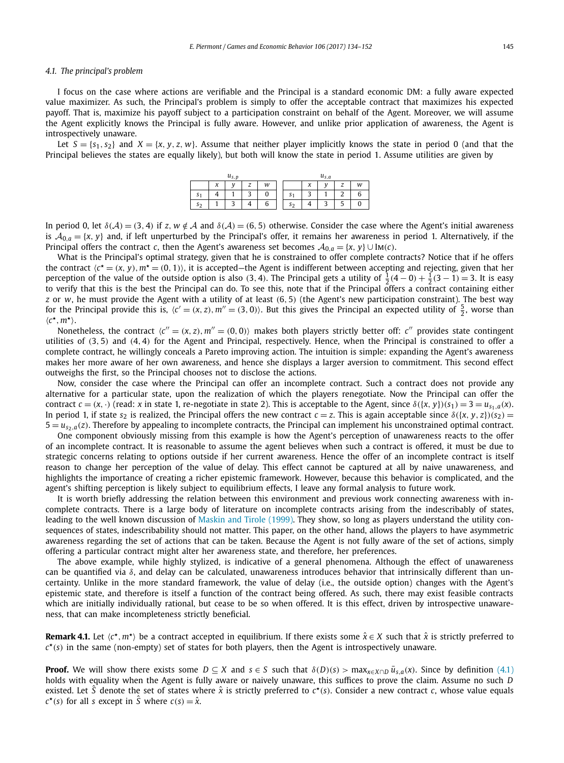#### *4.1. The principal's problem*

I focus on the case where actions are verifiable and the Principal is a standard economic DM: a fully aware expected value maximizer. As such, the Principal's problem is simply to offer the acceptable contract that maximizes his expected payoff. That is, maximize his payoff subject to a participation constraint on behalf of the Agent. Moreover, we will assume the Agent explicitly knows the Principal is fully aware. However, and unlike prior application of awareness, the Agent is introspectively unaware.

Let  $S = \{s_1, s_2\}$  and  $X = \{x, y, z, w\}$ . Assume that neither player implicitly knows the state in period 0 (and that the Principal believes the states are equally likely), but both will know the state in period 1. Assume utilities are given by

| $u_{s.n}$ |                |                          |                      |   | $u_{s,a}$ |       |                          |    |   |    |
|-----------|----------------|--------------------------|----------------------|---|-----------|-------|--------------------------|----|---|----|
|           |                | $\mathbf v$<br>$\lambda$ | $\ddot{\phantom{a}}$ | ∼ | W         |       | x                        | 11 | ﯩ | 14 |
|           | S.             |                          |                      | ∽ |           | C     | $\overline{\phantom{a}}$ |    | ۰ |    |
|           | s <sub>2</sub> |                          | ۰                    |   | ь         | $s_2$ |                          |    | э |    |

In period 0, let  $\delta(\mathcal{A}) = (3, 4)$  if *z*,  $w \notin \mathcal{A}$  and  $\delta(\mathcal{A}) = (6, 5)$  otherwise. Consider the case where the Agent's initial awareness is  $A_{0,a} = \{x, y\}$  and, if left unperturbed by the Principal's offer, it remains her awareness in period 1. Alternatively, if the Principal offers the contract *c*, then the Agent's awareness set becomes  $A_{0,a} = \{x, y\} \cup \text{Im}(c)$ .

What is the Principal's optimal strategy, given that he is constrained to offer complete contracts? Notice that if he offers the contract  $\langle c^* = (x, y), m^* = (0, 1) \rangle$ , it is accepted—the Agent is indifferent between accepting and rejecting, given that her perception of the value of the outside option is also (3, 4). The Principal gets a utility of  $\frac{1}{2}(4-0) + \frac{1}{2}(3-1) = 3$ . It is easy to verify that this is the best the Principal can do. To see this, note that if the Principal offers a contract containing either *z* or *w*, he must provide the Agent with a utility of at least *(*6*,* 5*)* (the Agent's new participation constraint). The best way for the Principal provide this is,  $\langle c' = (x, z), m'' = (3, 0) \rangle$ . But this gives the Principal an expected utility of  $\frac{5}{2}$ , worse than  $\langle c^{\star}, m^{\star} \rangle$ .

Nonetheless, the contract  $\langle c'' = (x, z), m'' = (0, 0) \rangle$  makes both players strictly better off: *c''* provides state contingent utilities of *(*3*,* 5*)* and *(*4*,* 4*)* for the Agent and Principal, respectively. Hence, when the Principal is constrained to offer a complete contract, he willingly conceals a Pareto improving action. The intuition is simple: expanding the Agent's awareness makes her more aware of her own awareness, and hence she displays a larger aversion to commitment. This second effect outweighs the first, so the Principal chooses not to disclose the actions.

Now, consider the case where the Principal can offer an incomplete contract. Such a contract does not provide any alternative for a particular state, upon the realization of which the players renegotiate. Now the Principal can offer the contract  $c = (x, \cdot)$  (read: x in state 1, re-negotiate in state 2). This is acceptable to the Agent, since  $\delta({x, y})(s_1) = 3 = u_{s_1, q}(x)$ . In period 1, if state *s*<sub>2</sub> is realized, the Principal offers the new contract  $c = z$ . This is again acceptable since  $\delta({x, y, z})(s_2) =$  $5 = u_{s_2,a}(z)$ . Therefore by appealing to incomplete contracts, the Principal can implement his unconstrained optimal contract.

One component obviously missing from this example is how the Agent's perception of unawareness reacts to the offer of an incomplete contract. It is reasonable to assume the agent believes when such a contract is offered, it must be due to strategic concerns relating to options outside if her current awareness. Hence the offer of an incomplete contract is itself reason to change her perception of the value of delay. This effect cannot be captured at all by naive unawareness, and highlights the importance of creating a richer epistemic framework. However, because this behavior is complicated, and the agent's shifting perception is likely subject to equilibrium effects, I leave any formal analysis to future work.

It is worth briefly addressing the relation between this environment and previous work connecting awareness with incomplete contracts. There is a large body of literature on incomplete contracts arising from the indescribably of states, leading to the well known discussion of Maskin and [Tirole \(1999\).](#page-18-0) They show, so long as players understand the utility consequences of states, indescribability should not matter. This paper, on the other hand, allows the players to have asymmetric awareness regarding the set of actions that can be taken. Because the Agent is not fully aware of the set of actions, simply offering a particular contract might alter her awareness state, and therefore, her preferences.

The above example, while highly stylized, is indicative of a general phenomena. Although the effect of unawareness can be quantified via *δ*, and delay can be calculated, unawareness introduces behavior that intrinsically different than uncertainty. Unlike in the more standard framework, the value of delay (i.e., the outside option) changes with the Agent's epistemic state, and therefore is itself a function of the contract being offered. As such, there may exist feasible contracts which are initially individually rational, but cease to be so when offered. It is this effect, driven by introspective unawareness, that can make incompleteness strictly beneficial.

**Remark 4.1.** Let  $\langle c^*, m^* \rangle$  be a contract accepted in equilibrium. If there exists some  $\hat{x} \in X$  such that  $\hat{x}$  is strictly preferred to  $c<sup>*</sup>(s)$  in the same (non-empty) set of states for both players, then the Agent is introspectively unaware.

**Proof.** We will show there exists some  $D \subseteq X$  and  $s \in S$  such that  $\delta(D)(s) > \max_{x \in X \cap D} \bar{u}_{s,a}(x)$ . Since by definition [\(4.1\)](#page-10-0) holds with equality when the Agent is fully aware or naively unaware, this suffices to prove the claim. Assume no such *D* existed. Let  $\hat{S}$  denote the set of states where  $\hat{x}$  is strictly preferred to  $c^*(s)$ . Consider a new contract *c*, whose value equals  $c^*(s)$  for all *s* except in  $\hat{S}$  where  $c(s) = \hat{x}$ .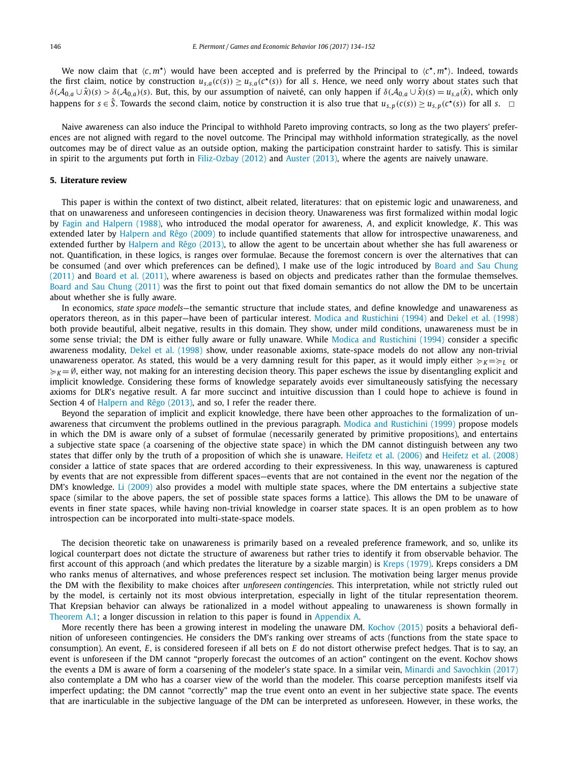<span id="page-12-0"></span>We now claim that  $\langle c, m^* \rangle$  would have been accepted and is preferred by the Principal to  $\langle c^*, m^* \rangle$ . Indeed, towards the first claim, notice by construction  $u_{s,a}(c(s)) \ge u_{s,a}(c^*(s))$  for all s. Hence, we need only worry about states such that  $\delta(\mathcal{A}_{0,a} \cup \hat{x})(s) > \delta(\mathcal{A}_{0,a})(s)$ . But, this, by our assumption of naiveté, can only happen if  $\delta(\mathcal{A}_{0,a} \cup \hat{x})(s) = u_{s,a}(\hat{x})$ , which only happens for  $s \in \hat{S}$ . Towards the second claim, notice by construction it is also true that  $u_{s,p}(c(s)) \geq u_{s,p}(c^*(s))$  for all s.  $\Box$ 

Naive awareness can also induce the Principal to withhold Pareto improving contracts, so long as the two players' preferences are not aligned with regard to the novel outcome. The Principal may withhold information strategically, as the novel outcomes may be of direct value as an outside option, making the participation constraint harder to satisfy. This is similar in spirit to the arguments put forth in [Filiz-Ozbay \(2012\)](#page-18-0) and [Auster \(2013\),](#page-17-0) where the agents are naively unaware.

### **5. Literature review**

This paper is within the context of two distinct, albeit related, literatures: that on epistemic logic and unawareness, and that on unawareness and unforeseen contingencies in decision theory. Unawareness was first formalized within modal logic by Fagin and [Halpern \(1988\),](#page-18-0) who introduced the modal operator for awareness, *A*, and explicit knowledge, *K*. This was extended later by Halpern and [Rêgo \(2009\)](#page-18-0) to include quantified statements that allow for introspective unawareness, and extended further by Halpern and [Rêgo \(2013\),](#page-18-0) to allow the agent to be uncertain about whether she has full awareness or not. Quantification, in these logics, is ranges over formulae. Because the foremost concern is over the alternatives that can be consumed (and over which preferences can be defined), I make use of the logic introduced by Board and [Sau Chung](#page-17-0) [\(2011\)](#page-17-0) and Board et [al. \(2011\),](#page-17-0) where awareness is based on objects and predicates rather than the formulae themselves. Board and [Sau Chung \(2011\)](#page-17-0) was the first to point out that fixed domain semantics do not allow the DM to be uncertain about whether she is fully aware.

In economics, *state space models*—the semantic structure that include states, and define knowledge and unawareness as operators thereon, as in this paper—have been of particular interest. Modica and [Rustichini \(1994\)](#page-18-0) and Dekel et [al. \(1998\)](#page-17-0) both provide beautiful, albeit negative, results in this domain. They show, under mild conditions, unawareness must be in some sense trivial; the DM is either fully aware or fully unaware. While Modica and [Rustichini \(1994\)](#page-18-0) consider a specific awareness modality, Dekel et [al. \(1998\)](#page-17-0) show, under reasonable axioms, state-space models do not allow any non-trivial unawareness operator. As stated, this would be a very damning result for this paper, as it would imply either  $\succcurlyeq \kappa =\succeq_L$  or  $E$ <sup>K</sup> = Ø, either way, not making for an interesting decision theory. This paper eschews the issue by disentangling explicit and implicit knowledge. Considering these forms of knowledge separately avoids ever simultaneously satisfying the necessary axioms for DLR's negative result. A far more succinct and intuitive discussion than I could hope to achieve is found in Section 4 of Halpern and [Rêgo \(2013\),](#page-18-0) and so, I refer the reader there.

Beyond the separation of implicit and explicit knowledge, there have been other approaches to the formalization of unawareness that circumvent the problems outlined in the previous paragraph. Modica and [Rustichini \(1999\)](#page-18-0) propose models in which the DM is aware only of a subset of formulae (necessarily generated by primitive propositions), and entertains a subjective state space (a coarsening of the objective state space) in which the DM cannot distinguish between any two states that differ only by the truth of a proposition of which she is unaware. Heifetz et [al. \(2006\)](#page-18-0) and Heifetz et [al. \(2008\)](#page-18-0) consider a lattice of state spaces that are ordered according to their expressiveness. In this way, unawareness is captured by events that are not expressible from different spaces—events that are not contained in the event nor the negation of the DM's knowledge. [Li \(2009\)](#page-18-0) also provides a model with multiple state spaces, where the DM entertains a subjective state space (similar to the above papers, the set of possible state spaces forms a lattice). This allows the DM to be unaware of events in finer state spaces, while having non-trivial knowledge in coarser state spaces. It is an open problem as to how introspection can be incorporated into multi-state-space models.

The decision theoretic take on unawareness is primarily based on a revealed preference framework, and so, unlike its logical counterpart does not dictate the structure of awareness but rather tries to identify it from observable behavior. The first account of this approach (and which predates the literature by a sizable margin) is [Kreps \(1979\).](#page-18-0) Kreps considers a DM who ranks menus of alternatives, and whose preferences respect set inclusion. The motivation being larger menus provide the DM with the flexibility to make choices after *unforeseen contingencies*. This interpretation, while not strictly ruled out by the model, is certainly not its most obvious interpretation, especially in light of the titular representation theorem. That Krepsian behavior can always be rationalized in a model without appealing to unawareness is shown formally in [Theorem A.1;](#page-14-0) a longer discussion in relation to this paper is found in [Appendix A.](#page-14-0)

More recently there has been a growing interest in modeling the unaware DM. [Kochov \(2015\)](#page-18-0) posits a behavioral definition of unforeseen contingencies. He considers the DM's ranking over streams of acts (functions from the state space to consumption). An event, *E*, is considered foreseen if all bets on *E* do not distort otherwise prefect hedges. That is to say, an event is unforeseen if the DM cannot "properly forecast the outcomes of an action" contingent on the event. Kochov shows the events a DM is aware of form a coarsening of the modeler's state space. In a similar vein, Minardi and [Savochkin \(2017\)](#page-18-0) also contemplate a DM who has a coarser view of the world than the modeler. This coarse perception manifests itself via imperfect updating; the DM cannot "correctly" map the true event onto an event in her subjective state space. The events that are inarticulable in the subjective language of the DM can be interpreted as unforeseen. However, in these works, the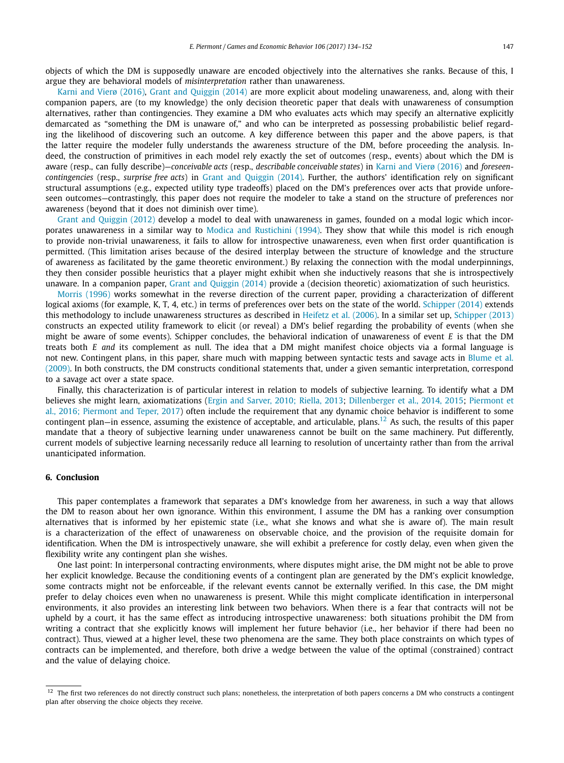objects of which the DM is supposedly unaware are encoded objectively into the alternatives she ranks. Because of this, I argue they are behavioral models of *misinterpretation* rather than unawareness.

Karni and [Vierø \(2016\),](#page-18-0) Grant and [Quiggin \(2014\)](#page-18-0) are more explicit about modeling unawareness, and, along with their companion papers, are (to my knowledge) the only decision theoretic paper that deals with unawareness of consumption alternatives, rather than contingencies. They examine a DM who evaluates acts which may specify an alternative explicitly demarcated as "something the DM is unaware of," and who can be interpreted as possessing probabilistic belief regarding the likelihood of discovering such an outcome. A key difference between this paper and the above papers, is that the latter require the modeler fully understands the awareness structure of the DM, before proceeding the analysis. Indeed, the construction of primitives in each model rely exactly the set of outcomes (resp., events) about which the DM is aware (resp., can fully describe)—*conceivable acts* (resp., *describable conceivable states*) in Karni and [Vierø \(2016\)](#page-18-0) and *foreseencontingencies* (resp., *surprise free acts*) in Grant and [Quiggin \(2014\).](#page-18-0) Further, the authors' identification rely on significant structural assumptions (e.g., expected utility type tradeoffs) placed on the DM's preferences over acts that provide unforeseen outcomes—contrastingly, this paper does not require the modeler to take a stand on the structure of preferences nor awareness (beyond that it does not diminish over time).

Grant and [Quiggin \(2012\)](#page-18-0) develop a model to deal with unawareness in games, founded on a modal logic which incorporates unawareness in a similar way to Modica and [Rustichini \(1994\).](#page-18-0) They show that while this model is rich enough to provide non-trivial unawareness, it fails to allow for introspective unawareness, even when first order quantification is permitted. (This limitation arises because of the desired interplay between the structure of knowledge and the structure of awareness as facilitated by the game theoretic environment.) By relaxing the connection with the modal underpinnings, they then consider possible heuristics that a player might exhibit when she inductively reasons that she is introspectively unaware. In a companion paper, Grant and [Quiggin \(2014\)](#page-18-0) provide a (decision theoretic) axiomatization of such heuristics.

[Morris \(1996\)](#page-18-0) works somewhat in the reverse direction of the current paper, providing a characterization of different logical axioms (for example, K, T, 4, etc.) in terms of preferences over bets on the state of the world. [Schipper \(2014\)](#page-18-0) extends this methodology to include unawareness structures as described in Heifetz et [al. \(2006\).](#page-18-0) In a similar set up, [Schipper \(2013\)](#page-18-0) constructs an expected utility framework to elicit (or reveal) a DM's belief regarding the probability of events (when she might be aware of some events). Schipper concludes, the behavioral indication of unawareness of event *E* is that the DM treats both *E and* its complement as null. The idea that a DM might manifest choice objects via a formal language is not new. Contingent plans, in this paper, share much with mapping between syntactic tests and savage acts in [Blume](#page-17-0) et al. [\(2009\).](#page-17-0) In both constructs, the DM constructs conditional statements that, under a given semantic interpretation, correspond to a savage act over a state space.

Finally, this characterization is of particular interest in relation to models of subjective learning. To identify what a DM believes she might learn, axiomatizations (Ergin and Sarver, [2010; Riella,](#page-18-0) 2013; [Dillenberger](#page-17-0) et al., 2014, 2015; [Piermont](#page-18-0) et al., [2016; Piermont](#page-18-0) and Teper, 2017) often include the requirement that any dynamic choice behavior is indifferent to some contingent plan—in essence, assuming the existence of acceptable, and articulable, plans.<sup>12</sup> As such, the results of this paper mandate that a theory of subjective learning under unawareness cannot be built on the same machinery. Put differently, current models of subjective learning necessarily reduce all learning to resolution of uncertainty rather than from the arrival unanticipated information.

#### **6. Conclusion**

This paper contemplates a framework that separates a DM's knowledge from her awareness, in such a way that allows the DM to reason about her own ignorance. Within this environment, I assume the DM has a ranking over consumption alternatives that is informed by her epistemic state (i.e., what she knows and what she is aware of). The main result is a characterization of the effect of unawareness on observable choice, and the provision of the requisite domain for identification. When the DM is introspectively unaware, she will exhibit a preference for costly delay, even when given the flexibility write any contingent plan she wishes.

One last point: In interpersonal contracting environments, where disputes might arise, the DM might not be able to prove her explicit knowledge. Because the conditioning events of a contingent plan are generated by the DM's explicit knowledge, some contracts might not be enforceable, if the relevant events cannot be externally verified. In this case, the DM might prefer to delay choices even when no unawareness is present. While this might complicate identification in interpersonal environments, it also provides an interesting link between two behaviors. When there is a fear that contracts will not be upheld by a court, it has the same effect as introducing introspective unawareness: both situations prohibit the DM from writing a contract that she explicitly knows will implement her future behavior (i.e., her behavior if there had been no contract). Thus, viewed at a higher level, these two phenomena are the same. They both place constraints on which types of contracts can be implemented, and therefore, both drive a wedge between the value of the optimal (constrained) contract and the value of delaying choice.

<sup>&</sup>lt;sup>12</sup> The first two references do not directly construct such plans; nonetheless, the interpretation of both papers concerns a DM who constructs a contingent plan after observing the choice objects they receive.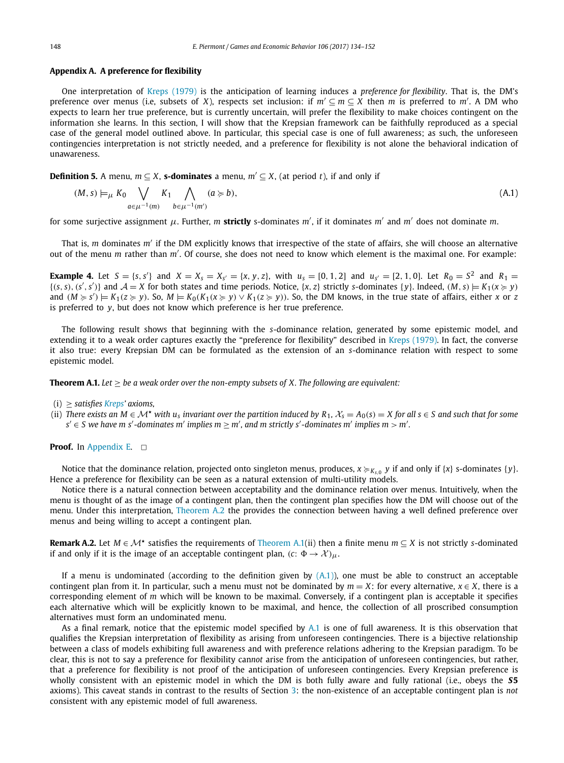#### <span id="page-14-0"></span>**Appendix A. A preference for flexibility**

One interpretation of [Kreps \(1979\)](#page-18-0) is the anticipation of learning induces a *preference for flexibility*. That is, the DM's preference over menus (i.e, subsets of *X*), respects set inclusion: if  $m' \subseteq m \subseteq X$  then *m* is preferred to *m'*. A DM who expects to learn her true preference, but is currently uncertain, will prefer the flexibility to make choices contingent on the information she learns. In this section, I will show that the Krepsian framework can be faithfully reproduced as a special case of the general model outlined above. In particular, this special case is one of full awareness; as such, the unforeseen contingencies interpretation is not strictly needed, and a preference for flexibility is not alone the behavioral indication of unawareness.

**Definition 5.** A menu,  $m \subset X$ , **s-dominates** a menu,  $m' \subset X$ , (at period *t*), if and only if

$$
(M, s) \models_{\mu} K_0 \bigvee_{a \in \mu^{-1}(m)} K_1 \bigwedge_{b \in \mu^{-1}(m')} (a \succcurlyeq b), \tag{A.1}
$$

for some surjective assignment  $\mu$ . Further, m **strictly** s-dominates m', if it dominates m' and m' does not dominate m.

That is, *m* dominates *m* if the DM explicitly knows that irrespective of the state of affairs, she will choose an alternative out of the menu *m* rather than *m* . Of course, she does not need to know which element is the maximal one. For example:

**Example 4.** Let  $S = \{s, s'\}$  and  $X = X_s = X_{s'} = \{x, y, z\}$ , with  $u_s = [0, 1, 2]$  and  $u_{s'} = [2, 1, 0]$ . Let  $R_0 = S^2$  and  $R_1 =$  $\{(s,s), (s',s')\}$  and  $\mathcal{A} = X$  for both states and time periods. Notice,  $\{x, z\}$  strictly s-dominates  $\{y\}$ . Indeed,  $(M, s) \models K_1(x \succcurlyeq y)$ and  $(M \ge s')$   $\models$   $K_1(z \ge y)$ . So,  $M \models K_0(K_1(x \ge y) \vee K_1(z \ge y))$ . So, the DM knows, in the true state of affairs, either x or z is preferred to *y*, but does not know which preference is her true preference.

The following result shows that beginning with the *s*-dominance relation, generated by some epistemic model, and extending it to a weak order captures exactly the "preference for flexibility" described in [Kreps \(1979\).](#page-18-0) In fact, the converse it also true: every Krepsian DM can be formulated as the extension of an *s*-dominance relation with respect to some epistemic model.

**Theorem A.1.** *Let* ≥ *be a weak order over the non-empty subsets of X. The following are equivalent:*

- (i) ≥ *satisfies [Kreps'](#page-18-0) axioms,*
- (ii) There exists an  $M \in \mathcal{M}^*$  with  $u_s$  invariant over the partition induced by  $R_1$ ,  $\mathcal{X}_s = A_0(s) = X$  for all  $s \in S$  and such that for some  $s' \in S$  we have m s'-dominates m' implies  $m \ge m'$ , and m strictly s'-dominates m' implies  $m > m'$ .

**Proof.** In [Appendix E.](#page-17-0)  $\Box$ 

Notice that the dominance relation, projected onto singleton menus, produces,  $x \succcurlyeq_{K_s,0} y$  if and only if  $\{x\}$  s-dominates  $\{y\}$ . Hence a preference for flexibility can be seen as a natural extension of multi-utility models.

Notice there is a natural connection between acceptability and the dominance relation over menus. Intuitively, when the menu is thought of as the image of a contingent plan, then the contingent plan specifies how the DM will choose out of the menu. Under this interpretation, Theorem A.2 the provides the connection between having a well defined preference over menus and being willing to accept a contingent plan.

**Remark A.2.** Let  $M \in \mathcal{M}^*$  satisfies the requirements of Theorem A.1(ii) then a finite menu  $m \subset X$  is not strictly *s*-dominated if and only if it is the image of an acceptable contingent plan,  $(c: \Phi \rightarrow \mathcal{X})_{\mu}$ .

If a menu is undominated (according to the definition given by  $(A.1)$ ), one must be able to construct an acceptable contingent plan from it. In particular, such a menu must not be dominated by  $m = X$ : for every alternative,  $x \in X$ , there is a corresponding element of *m* which will be known to be maximal. Conversely, if a contingent plan is acceptable it specifies each alternative which will be explicitly known to be maximal, and hence, the collection of all proscribed consumption alternatives must form an undominated menu.

As a final remark, notice that the epistemic model specified by A.1 is one of full awareness. It is this observation that qualifies the Krepsian interpretation of flexibility as arising from unforeseen contingencies. There is a bijective relationship between a class of models exhibiting full awareness and with preference relations adhering to the Krepsian paradigm. To be clear, this is not to say a preference for flexibility can*not* arise from the anticipation of unforeseen contingencies, but rather, that a preference for flexibility is not proof of the anticipation of unforeseen contingencies. Every Krepsian preference is wholly consistent with an epistemic model in which the DM is both fully aware and fully rational (i.e., obeys the *S***5** axioms). This caveat stands in contrast to the results of Section [3:](#page-6-0) the non-existence of an acceptable contingent plan is *not* consistent with any epistemic model of full awareness.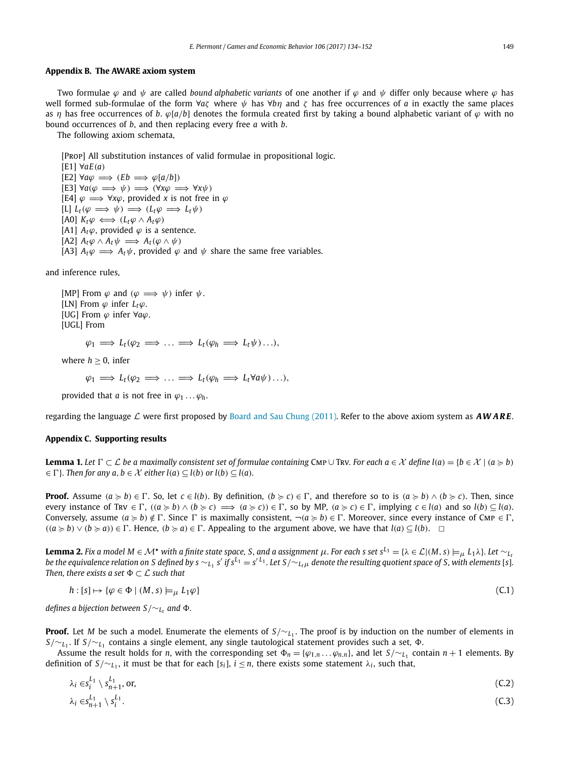#### <span id="page-15-0"></span>**Appendix B. The AWARE axiom system**

Two formulae *ϕ* and *ψ* are called *bound alphabetic variants* of one another if *ϕ* and *ψ* differ only because where *ϕ* has well formed sub-formulae of the form ∀*aζ* where *ψ* has ∀*bη* and *ζ* has free occurrences of *a* in exactly the same places as *η* has free occurrences of *b*.  $\varphi$ [*a*/*b*] denotes the formula created first by taking a bound alphabetic variant of  $\varphi$  with no bound occurrences of *b*, and then replacing every free *a* with *b*.

The following axiom schemata,

[Prop] All substitution instances of valid formulae in propositional logic. [E1] ∀*aE(a)*  $[E2] \forall a \varphi \implies (Eb \implies \varphi[a/b])$  $[E3] \forall a(\varphi \implies \psi) \implies (\forall x \varphi \implies \forall x \psi)$ [E4]  $\varphi \implies \forall x \varphi$ , provided *x* is not free in  $\varphi$  $[L] L_t(\varphi \implies \psi) \implies (L_t \varphi \implies L_t \psi)$  $[A0]$   $K_t\varphi \iff (L_t\varphi \land A_t\varphi)$ [A1]  $A_t\varphi$ , provided  $\varphi$  is a sentence.  $[A2]$   $A_t \varphi \wedge A_t \psi \implies A_t(\varphi \wedge \psi)$ [A3]  $A_t \varphi \implies A_t \psi$ , provided  $\varphi$  and  $\psi$  share the same free variables.

and inference rules,

[MP] From  $\varphi$  and  $(\varphi \implies \psi)$  infer  $\psi$ . [LN] From  $\varphi$  infer  $L_t\varphi$ . [UG] From *ϕ* infer ∀*aϕ*. [UGL] From

 $\varphi_1 \Longrightarrow L_t(\varphi_2 \Longrightarrow \ldots \Longrightarrow L_t(\varphi_h \Longrightarrow L_t\psi) \ldots),$ 

where  $h > 0$ , infer

$$
\varphi_1 \implies L_t(\varphi_2 \implies \ldots \implies L_t(\varphi_h \implies L_t \forall a \psi) \ldots),
$$

provided that *a* is not free in  $\varphi_1 \dots \varphi_h$ .

regarding the language L were first proposed by Board and [Sau Chung \(2011\).](#page-17-0) Refer to the above axiom system as *AW ARE*.

#### **Appendix C. Supporting results**

**Lemma 1.** Let  $\Gamma \subset \mathcal{L}$  be a maximally consistent set of formulae containing CMP  $\cup$  TRV. For each  $a \in \mathcal{X}$  define  $l(a) = \{b \in \mathcal{X} \mid (a \succcurlyeq b)\}$  $\in \Gamma$ . Then for any  $a, b \in \mathcal{X}$  either  $l(a) \subset l(b)$  or  $l(b) \subset l(a)$ .

**Proof.** Assume  $(a \ge b) \in \Gamma$ . So, let  $c \in l(b)$ . By definition,  $(b \ge c) \in \Gamma$ , and therefore so to is  $(a \ge b) \wedge (b \ge c)$ . Then, since every instance of TRV  $\in \Gamma$ ,  $((a \ge b) \land (b \ge c) \implies (a \ge c)) \in \Gamma$ , so by MP,  $(a \ge c) \in \Gamma$ , implying  $c \in l(a)$  and so  $l(b) \subseteq l(a)$ . Conversely, assume  $(a \ge b) \notin \Gamma$ . Since  $\Gamma$  is maximally consistent,  $\neg (a \ge b) \in \Gamma$ . Moreover, since every instance of Cmp  $\in \Gamma$ ,  $((a \ge b) \vee (b \ge a)) \in \Gamma$ . Hence,  $(b \ge a) \in \Gamma$ . Appealing to the argument above, we have that  $l(a) \subseteq l(b)$ .  $\Box$ 

**Lemma 2.** Fix a model  $M \in \mathcal{M}^*$  with a finite state space, S, and a assignment  $\mu$ . For each s set  $s^{L_1} = {\lambda \in \mathcal{L} | (M, s) \models_{\mu} L_1 \lambda}$ . Let  $\sim_{L_1}$ be the equivalence relation on S defined by  $s \sim_{L_1} s'$  if  $s^{L_1} = s'{}^{L_1}$ . Let  $S / \sim_{L_1} \mu$  denote the resulting quotient space of S, with elements [s]. *Then, there exists a set*  $\Phi \subset \mathcal{L}$  *such that* 

$$
h: [s] \mapsto \{ \varphi \in \Phi \mid (M, s) \models_{\mu} L_1 \varphi \} \tag{C.1}
$$

*defines a bijection between*  $S / \sim L_t$  *and*  $\Phi$ *.* 

**Proof.** Let *M* be such a model. Enumerate the elements of  $S/\sim L_1$ . The proof is by induction on the number of elements in *S*/∼*L*<sub>1</sub>. If *S*/∼*L*<sub>1</sub> contains a single element, any single tautological statement provides such a set,  $\Phi$ .

Assume the result holds for *n*, with the corresponding set  $\Phi_n = {\varphi_{1,n} \dots \varphi_{n,n}}$ , and let  $S/\sim_{L_1}$  contain  $n+1$  elements. By definition of  $S/\sim_{L_1}$ , it must be that for each [*s<sub>i</sub>*],  $i \leq n$ , there exists some statement  $\lambda_i$ , such that,

$$
\lambda_i \in s_i^{L_1} \setminus s_{n+1}^{L_1}, \text{ or,}
$$
\n
$$
\lambda_i \in s_{n+1}^{L_1} \setminus s_i^{L_1}.
$$
\n(C.2)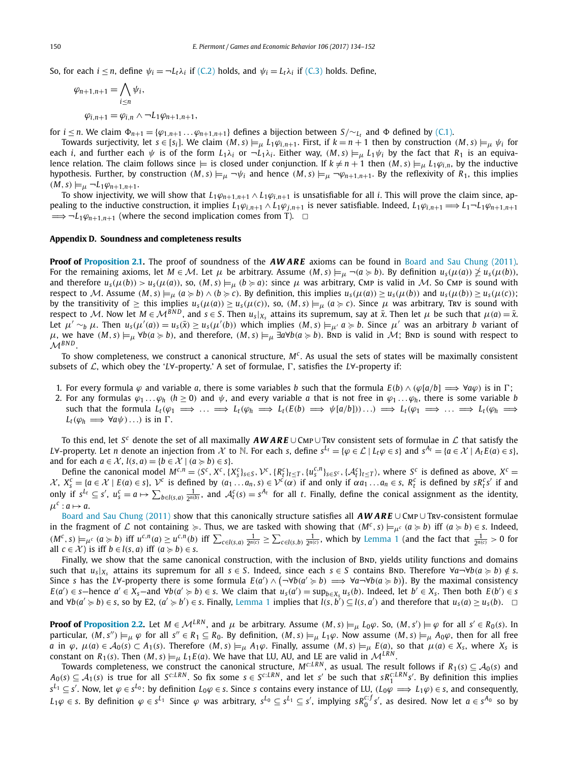<span id="page-16-0"></span>So, for each  $i \le n$ , define  $\psi_i = \neg L_t \lambda_i$  if [\(C.2\)](#page-15-0) holds, and  $\psi_i = L_t \lambda_i$  if [\(C.3\)](#page-15-0) holds. Define,

$$
\varphi_{n+1,n+1} = \bigwedge_{i \le n} \psi_i,
$$
  

$$
\varphi_{i,n+1} = \varphi_{i,n} \wedge \neg L_1 \varphi_{n+1,n+1},
$$

for *i* ≤ *n*. We claim  $\Phi_{n+1} = {\varphi_{1,n+1} \dots \varphi_{n+1,n+1}}$  defines a bijection between  $S/\sim_{L_r}$  and  $\Phi$  defined by [\(C.1\).](#page-15-0)

Towards surjectivity, let  $s \in [s_i]$ . We claim  $(M, s) \models \mu \mathcal{L}_1 \varphi_{i,n+1}$ . First, if  $k = n + 1$  then by construction  $(M, s) \models \mu \psi_i$  for each *i*, and further each  $\psi$  is of the form  $L_1\lambda_i$  or  $-L_1\lambda_i$ . Either way,  $(M, s) \models_{\mu} L_1\psi_i$  by the fact that  $R_1$  is an equivalence relation. The claim follows since  $\models$  is closed under conjunction. If  $k \neq n+1$  then  $(M, s) \models_{\mu} L_1 \varphi_{i,n}$ , by the inductive hypothesis. Further, by construction  $(M, s) \models_{\mu} \neg \psi_i$  and hence  $(M, s) \models_{\mu} \neg \varphi_{n+1,n+1}$ . By the reflexivity of  $R_1$ , this implies  $(M, s) \models_{\mu} \neg L_1 \varphi_{n+1, n+1}.$ 

To show injectivity, we will show that  $L_1\varphi_{n+1,n+1} \wedge L_1\varphi_{i,n+1}$  is unsatisfiable for all *i*. This will prove the claim since, appealing to the inductive construction, it implies  $L_1 \varphi_{i,n+1} \wedge L_1 \varphi_{i,n+1}$  is never satisfiable. Indeed,  $L_1 \varphi_{i,n+1} \Longrightarrow L_1 \neg L_1 \varphi_{n+1,n+1}$  $\implies \neg L_1 \varphi_{n+1,n+1}$  (where the second implication comes from T).  $\Box$ 

#### **Appendix D. Soundness and completeness results**

**Proof of [Proposition 2.1.](#page-4-0)** The proof of soundness of the *AW ARE* axioms can be found in Board and [Sau Chung \(2011\).](#page-17-0) For the remaining axioms, let  $M \in \mathcal{M}$ . Let  $\mu$  be arbitrary. Assume  $(M, s) \models \mu \neg (a \ge b)$ . By definition  $u_s(\mu(a)) \ngeq u_s(\mu(b))$ , and therefore  $u_s(\mu(b)) > u_s(\mu(a))$ , so,  $(M, s) \models_{\mu} (b \ge a)$ : since  $\mu$  was arbitrary, CMP is valid in M. So CMP is sound with respect to M. Assume  $(M, s) \models_{\mu} (a \ge b) \land (b \ge c)$ . By definition, this implies  $u_s(\mu(a)) \ge u_s(\mu(b))$  and  $u_s(\mu(b)) \ge u_s(\mu(c))$ ; by the transitivity of  $\geq$  this implies  $u_s(\mu(a)) \geq u_s(\mu(c))$ , so,  $(M, s) \models_{\mu} (a \geq c)$ . Since  $\mu$  was arbitrary, Trow is sound with respect to M. Now let  $M \in M^{BND}$ , and  $s \in S$ . Then  $u_s|_{X_s}$  attains its supremum, say at  $\bar{x}$ . Then let  $\mu$  be such that  $\mu(a) = \bar{x}$ . Let  $\mu' \sim_b \mu$ . Then  $u_s(\mu'(a)) = u_s(\bar{x}) \ge u_s(\mu'(b))$  which implies  $(M, s) \models_{\mu'} a \succcurlyeq b$ . Since  $\mu'$  was an arbitrary b variant of  $\mu$ , we have  $(M, s) \models_{\mu} \forall b(a \ge b)$ , and therefore,  $(M, s) \models_{\mu} \exists a \forall b(a \ge b)$ . BND is valid in M; BND is sound with respect to  $M^{BND}$ .

To show completeness, we construct a canonical structure,  $M<sup>c</sup>$ . As usual the sets of states will be maximally consistent subsets of *L*, which obey the '*L*∀-property.' A set of formulae,  $\Gamma$ , satisfies the *L*∀-property if:

- 1. For every formula  $\varphi$  and variable *a*, there is some variables *b* such that the formula  $E(b) \wedge (\varphi[a/b] \implies \forall a\varphi)$  is in  $\Gamma$ ;
- 2. For any formulas  $\varphi_1 \dots \varphi_h$  ( $h \ge 0$ ) and  $\psi$ , and every variable *a* that is not free in  $\varphi_1 \dots \varphi_h$ , there is some variable *b* such that the formula  $L_t(\varphi_1 \implies ... \implies L_t(\varphi_h \implies L_t(E(b) \implies \psi[a/b]))...) \implies L_t(\varphi_1 \implies ... \implies L_t(\varphi_h \implies L_t(\varphi_1 \implies ... \implies L_t(\varphi_h \implies L_t(\varphi_1 \implies ... \implies L_t(\varphi_h \implies L_t(\varphi_1 \implies ... \implies L_t(\varphi_h \implies L_t(\varphi_1 \implies ... \implies L_t(\varphi_h \implies L_t(\varphi_1 \implies ... \implies L_t(\varphi_h \implies L_t(\varphi_1 \implies ... \implies L_t(\varphi_h$  $L_t(\varphi_h \implies \forall a \psi) \dots$ ) is in  $\Gamma$ .

To this end, let S<sup>*c*</sup> denote the set of all maximally *AW ARE* ∪ CMP∪Trv consistent sets of formulae in £ that satisfy the LV-property. Let *n* denote an injection from X to N. For each s, define  $s^{L_t} = \{ \varphi \in \mathcal{L} \mid L_t \varphi \in s \}$  and  $s^{A_t} = \{ a \in \mathcal{X} \mid A_t E(a) \in s \}$ . and for each  $a \in \mathcal{X}$ ,  $l(s, a) = \{b \in \mathcal{X} \mid (a \succcurlyeq b) \in s\}.$ 

Define the canonical model  $M^{c,n} = (S^c, X^c, \{X_s^c\}_{s \in S}, \mathcal{V}^c, \{R_f^c\}_{t \in T}, \{u_s^{c,n}\}_{s \in S^c}, \{\mathcal{A}_t^c\}_{t \in T}$ , where  $S^c$  is defined as above,  $X^c =$  $\mathcal{X}, X_s^c = \{a \in \mathcal{X} \mid E(a) \in s\}, \mathcal{V}^c$  is defined by  $(a_1 \dots a_n, s) \in \mathcal{V}^c(\alpha)$  if and only if  $\alpha a_1 \dots a_n \in s$ ,  $R_t^c$  is defined by  $sR_t^c s'$  if and only if  $s^{L_t} \subseteq s'$ ,  $u_s^c = a \mapsto \sum_{b \in l(s,a)} \frac{1}{2^{n(b)}}$ , and  $A_t^c(s) = s^{A_t}$  for all t. Finally, define the conical assignment as the identity,  $\mu^c : a \mapsto a$ .

Board and [Sau Chung \(2011\)](#page-17-0) show that this canonically structure satisfies all *AW ARE* ∪ Cmp ∪ Trv-consistent formulae in the fragment of L not containing  $\succcurlyeq$ . Thus, we are tasked with showing that  $(M^c, s) \models_{\mu^c} (a \succcurlyeq b)$  iff  $(a \succcurlyeq b) \in s$ . Indeed,  $(M^c, s) \models_{\mu^c} (a \ge b)$  iff  $u^{c,n}(a) \ge u^{c,n}(b)$  iff  $\sum_{c \in l(s,a)} \frac{1}{2^{n(c)}} \ge \sum_{c \in l(s,b)} \frac{1}{2^{n(c)}}$ , which by [Lemma 1](#page-15-0) (and the fact that  $\frac{1}{2^{n(c)}} > 0$  for all  $c \in \mathcal{X}$  is iff  $b \in l(s, a)$  iff  $(a \succcurlyeq b) \in s$ .

Finally, we show that the same canonical construction, with the inclusion of BnD, yields utility functions and domains such that  $u_s|_{X_s}$  attains its supremum for all  $s \in S$ . Indeed, since each  $s \in S$  contains BnD. Therefore  $\forall a \neg \forall b (a \succ b) \notin s$ . Since s has the L $\forall$ -property there is some formula  $E(a') \wedge (\neg \forall b(a' \succcurlyeq b) \implies \forall a \neg \forall b(a \succcurlyeq b)$ . By the maximal consistency  $E(a') \in s$ —hence  $a' \in X_s$ —and  $\forall b(a' \succcurlyeq b) \in s$ . We claim that  $u_s(a') = \sup_{b \in X_s} u_s(b)$ . Indeed, let  $b' \in X_s$ . Then both  $E(b') \in s$ and  $\forall b(a' \succ b) \in s$ , so by E2,  $(a' \succ b') \in s$ . Finally, [Lemma 1](#page-15-0) implies that  $l(s, b') \subseteq l(s, a')$  and therefore that  $u_s(a) \ge u_s(b)$ .  $\Box$ 

**Proof of [Proposition 2.2.](#page-5-0)** Let  $M \in \mathcal{M}^{LRN}$ , and  $\mu$  be arbitrary. Assume  $(M, s) \models \mu L_0 \varphi$ . So,  $(M, s') \models \varphi$  for all  $s' \in R_0(s)$ . In particular,  $(M, s'') \models_{\mu} \varphi$  for all  $s'' \in R_1 \subseteq R_0$ . By definition,  $(M, s) \models_{\mu} L_1 \varphi$ . Now assume  $(M, s) \models_{\mu} A_0 \varphi$ , then for all free a in  $\varphi$ ,  $\mu(a) \in A_0(s) \subset A_1(s)$ . Therefore  $(M, s) \models_{\mu} A_1 \varphi$ . Finally, assume  $(M, s) \models_{\mu} E(a)$ , so that  $\mu(a) \in X_s$ , where  $X_s$  is constant on  $R_1(s)$ . Then  $(M, s) \models \mu L_1 E(a)$ . We have that LU, AU, and LE are valid in  $\mathcal{M}^{LRN}$ .

Towards completeness, we construct the canonical structure,  $M^{c:LRN}$ , as usual. The result follows if  $R_1(s) \subseteq A_0(s)$  and  $A_0(s) \subseteq A_1(s)$  is true for all  $S^{c,LRN}$ . So fix some  $s \in S^{c,LRN}$ , and let s' be such that  $sR_1^{c,LRN}s'$ . By definition this implies  $s^{L_1}\subseteq s'$ . Now, let  $\varphi\in s^{L_0}$ : by definition  $L_0\varphi\in s.$  Since  $s$  contains every instance of LU,  $(L_0\varphi\implies L_1\varphi)\in s,$  and consequently,  $L_1\varphi\in$  s. By definition  $\varphi\in s^{L_1}$  Since  $\varphi$  was arbitrary,  $s^{L_0}\subseteq s^{L_1}\subseteq s'$ , implying  $sR_0^{c:f}s'$ , as desired. Now let  $a\in s^{A_0}$  so by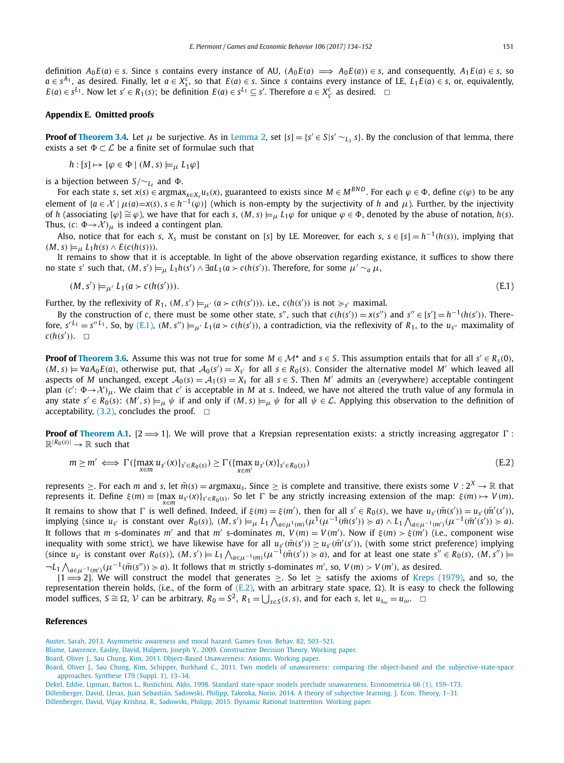#### <span id="page-17-0"></span>**Appendix E. Omitted proofs**

**Proof of [Theorem 3.4.](#page-9-0)** Let  $\mu$  be surjective. As in [Lemma 2,](#page-15-0) set  $[s] = \{s' \in S | s' \sim L_1 \}$ . By the conclusion of that lemma, there exists a set  $\Phi \subset \mathcal{L}$  be a finite set of formulae such that

$$
h:[s]\mapsto\{\varphi\in\Phi\mid (M,s)\models_{\mu}L_1\varphi\}
$$

is a bijection between *S/*∼*L*<sub>t</sub> and  $Φ$ .

For each state s, set  $x(s) \in \text{argmax}_{x \in X_s} u_s(x)$ , guaranteed to exists since  $M \in M^{BND}$ . For each  $\varphi \in \Phi$ , define  $c(\varphi)$  to be any element of  ${a \in \mathcal{X} \mid \mu(a)=x(s), s \in h^{-1}(\varphi)}$  (which is non-empty by the surjectivity of *h* and  $\mu$ ). Further, by the injectivity of h (associating  $\{\varphi\} \cong \varphi$ ), we have that for each s,  $(M, s) \models_{\mu} L_1 \varphi$  for unique  $\varphi \in \Phi$ , denoted by the abuse of notation,  $h(s)$ . Thus,  $(c: \Phi \rightarrow \mathcal{X})_{\mu}$  is indeed a contingent plan.

Also, notice that for each *s*,  $X_s$  must be constant on [*s*] by LE. Moreover, for each *s*,  $s \in [s] = h^{-1}(h(s))$ , implying that  $(M, s) \models_{\mu} L_1 h(s) \land E(c(h(s))).$ 

It remains to show that it is acceptable. In light of the above observation regarding existance, it suffices to show there no state s' such that,  $(M,s')\models_{\mu} L_1h(s')\land \exists aL_1(a\succ c(h(s')).$  Therefore, for some  $\mu'\sim_a\mu,$ 

$$
(M, s') \models_{\mu'} L_1(a \succ c(h(s')))
$$

*))).* (E.1)

Further, by the reflexivity of  $R_1$ ,  $(M, s') \models_{\mu'} (a \succ c(h(s')))$ . i.e.,  $c(h(s'))$  is not  $\succcurlyeq_{s'}$  maximal.

By the construction of c, there must be some other state, s'', such that  $c(h(s')) = x(s'')$  and  $s'' \in [s'] = h^{-1}(h(s'))$ . Therefore,  $s'^{L_1} = s''^{L_1}$ . So, by (E.1), (M, s'')  $\models_{\mu'} L_1(a \succ c(h(s')))$ , a contradiction, via the reflexivity of  $R_1$ , to the  $u_{s''}$  maximality of  $c(h(s'))$ .  $\Box$ 

**Proof of [Theorem 3.6.](#page-10-0)** Assume this was not true for some  $M \in \mathcal{M}^*$  and  $s \in S$ . This assumption entails that for all  $s' \in R_s(0)$ ,  $(M, s) \models \forall a A_0 E(a)$ , otherwise put, that  $A_0(s') = X_{s'}$  for all  $s \in R_0(s)$ . Consider the alternative model M' which leaved all aspects of *M* unchanged, except  $A_0(s) = A_1(s) = X_s$  for all  $s \in S$ . Then *M'* admits an (everywhere) acceptable contingent plan  $(c' : \Phi \to \mathcal{X})_{\mu}$ . We claim that *c'* is acceptable in *M* at *s*. Indeed, we have not altered the truth value of any formula in any state  $s' \in R_0(s)$ :  $(M', s) \models_{\mu} \psi$  if and only if  $(M, s) \models_{\mu} \psi$  for all  $\psi \in \mathcal{L}$ . Applying this observation to the definition of acceptability,  $(3.2)$ , concludes the proof.  $\Box$ 

**Proof of [Theorem A.1.](#page-14-0)**  $[2 \rightarrow 1]$ . We will prove that a Krepsian representation exists: a strictly increasing aggregator  $\Gamma$ :  $\mathbb{R}^{|R_0(s)|} \to \mathbb{R}$  such that

$$
m \ge m' \iff \Gamma(\{\max_{x \in m} u_{s'}(x)\}_{s' \in R_0(s)}) \ge \Gamma(\{\max_{x \in m'} u_{s'}(x)\}_{s' \in R_0(s)})
$$
(E.2)

represents  $\geq$ . For each *m* and *s*, let  $\bar{m}(s) = \argmax u_s$ . Since  $\geq$  is complete and transitive, there exists some  $V : 2^X \to \mathbb{R}$  that represents it. Define  $\xi(m) \equiv \{ \max_{x \in m} u_{s'}(x) \}_{s' \in R_0(s)}$ . So let  $\Gamma$  be any strictly increasing extension of the map:  $\xi(m) \mapsto V(m)$ .

It remains to show that  $\Gamma$  is well defined. Indeed, if  $\xi(m) = \xi(m')$ , then for all  $s' \in R_0(s)$ , we have  $u_{s'}(\bar{m}(s')) = u_{s'}(\bar{m}'(s'))$ , implying (since  $u_{s'}$  is constant over  $R_0(s)$ ),  $(M, s') \models \mu L_1 \bigwedge_{a \in \mu^1(m)} (\mu^1(\mu^{-1}(\bar{m}(s')) \succ a) \wedge L_1 \bigwedge_{a \in \mu^{-1}(m')} (\mu^{-1}(\bar{m}'(s')) \succ a)$ . It follows that m s-dominates m' and that m' s-dominates m,  $V(m) = V(m')$ . Now if  $\xi(m) > \xi(m')$  (i.e., component wise inequality with some strict), we have likewise have for all  $u_{s'}(\bar{m}(s')) \ge u_{s'}(\bar{m}'(s'))$ , (with some strict preference) implying (since  $u_{s'}$  is constant over  $R_0(s)$ ),  $(M, s') \models L_1 \bigwedge_{a \in \mu^{-1}(m)} (\mu^{-1}(\bar{m}(s')) \succ a)$ , and for at least one state  $s'' \in R_0(s)$ ,  $(M, s'') \models$  $\neg L_1 \bigwedge_{a \in \mu^{-1}(m')} (\mu^{-1}(\bar{m}(s'')) \succ a)$ . It follows that m strictly s-dominates m', so,  $V(m) > V(m')$ , as desired.

 $[1 \Rightarrow 2]$ . We will construct the model that generates  $\ge$ . So let  $\ge$  satisfy the axioms of [Kreps \(1979\),](#page-18-0) and so, the representation therein holds, (i.e., of the form of  $(E.2)$ , with an arbitrary state space,  $\Omega$ ). It is easy to check the following  $\Box$ *model suffices, S*  $\cong$  Ω, *V* can be arbitrary,  $R_0 = S^2$ ,  $R_1 = \bigcup_{s \in S} (s, s)$ , and for each *s*, let  $u_{s_\omega} = u_\omega$ .  $\Box$ 

#### **References**

Auster, Sarah, 2013. [Asymmetric](http://refhub.elsevier.com/S0899-8256(17)30156-2/bib41757374657232303133s1) awareness and moral hazard. Games Econ. Behav. 82, 503–521.

Blume, Lawrence, Easley, David, Halpern, Joseph Y., 2009. [Constructive](http://refhub.elsevier.com/S0899-8256(17)30156-2/bib426C756D6532303039s1) Decision Theory. Working paper.

Board, Oliver J., Sau Chung, Kim, 2011. Object-Based [Unawareness:](http://refhub.elsevier.com/S0899-8256(17)30156-2/bib426F61726432303131s1) Axioms. Working paper.

Board, Oliver J., Sau Chung, Kim, Schipper, Burkhard C., 2011. Two models of unawareness: comparing the object-based and the [subjective-state-space](http://refhub.elsevier.com/S0899-8256(17)30156-2/bib426F6172643230313161s1) approaches. [Synthese 179](http://refhub.elsevier.com/S0899-8256(17)30156-2/bib426F6172643230313161s1) (Suppl. 1), 13–34.

Dekel, Eddie, Lipman, Barton L., Rustichini, Aldo, 1998. Standard state-space models preclude unawareness. [Econometrica 66](http://refhub.elsevier.com/S0899-8256(17)30156-2/bib44656B656C31393938s1) (1), 159–173.

[Dillenberger,](http://refhub.elsevier.com/S0899-8256(17)30156-2/bib44696C6C656E62657267657232303134s1) David, Lleras, Juan Sebastián, Sadowski, Philipp, Takeoka, Norio, 2014. A theory of subjective learning. J. Econ. Theory, 1–31.

[Dillenberger,](http://refhub.elsevier.com/S0899-8256(17)30156-2/bib44696C6C656E62657267657232303135s1) David, Vijay Krishna, R., Sadowski, Philipp, 2015. Dynamic Rational Inattention. Working paper.